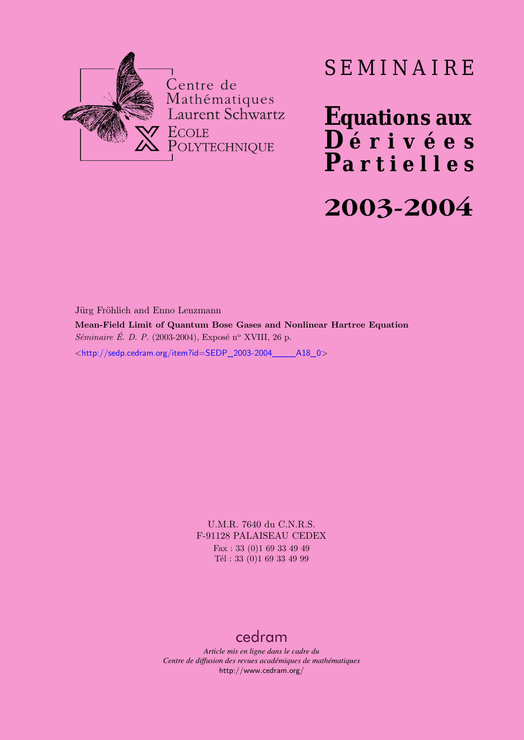

# SEMINAIRE

**Equations aux**  $\overline{\mathbf{D}}$  érivées **Partielles 2003-2004**

Jürg Fröhlich and Enno Lenzmann **Mean-Field Limit of Quantum Bose Gases and Nonlinear Hartree Equation** *Séminaire É. D. P.* (2003-2004), Exposé n<sup>o</sup> XVIII, 26 p. <[http://sedp.cedram.org/item?id=SEDP\\_2003-2004\\_\\_\\_\\_A18\\_0](http://sedp.cedram.org/item?id=SEDP_2003-2004____A18_0)>

> U.M.R. 7640 du C.N.R.S. F-91128 PALAISEAU CEDEX Fax : 33 (0)1 69 33 49 49 Tél : 33 (0)1 69 33 49 99

## [cedram](http://www.cedram.org/)

*Article mis en ligne dans le cadre du Centre de diffusion des revues académiques de mathématiques* <http://www.cedram.org/>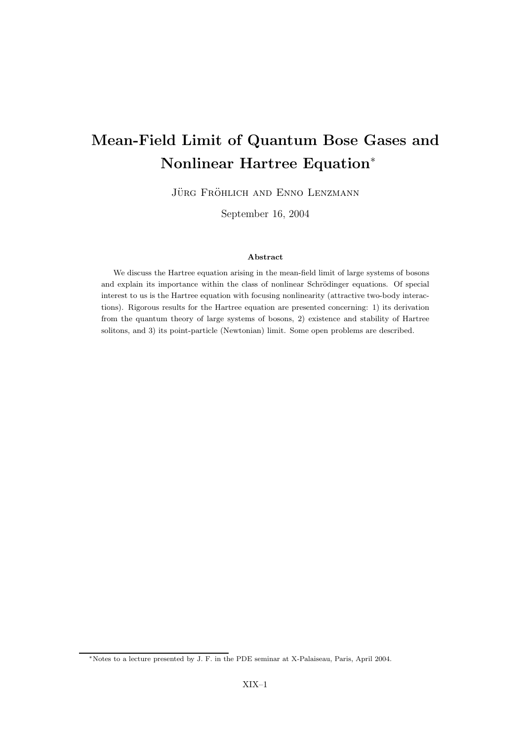## Mean-Field Limit of Quantum Bose Gases and Nonlinear Hartree Equation<sup>∗</sup>

JÜRG FRÖHLICH AND ENNO LENZMANN

September 16, 2004

#### Abstract

We discuss the Hartree equation arising in the mean-field limit of large systems of bosons and explain its importance within the class of nonlinear Schrödinger equations. Of special interest to us is the Hartree equation with focusing nonlinearity (attractive two-body interactions). Rigorous results for the Hartree equation are presented concerning: 1) its derivation from the quantum theory of large systems of bosons, 2) existence and stability of Hartree solitons, and 3) its point-particle (Newtonian) limit. Some open problems are described.

<sup>∗</sup>Notes to a lecture presented by J. F. in the PDE seminar at X-Palaiseau, Paris, April 2004.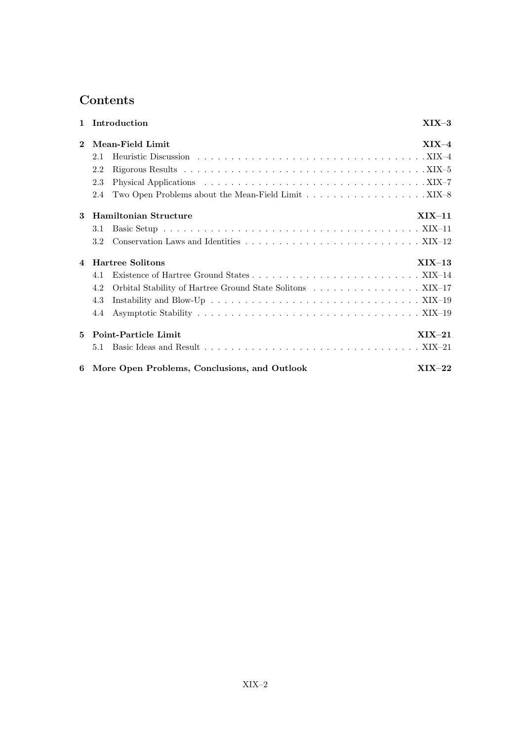## Contents

| $\mathbf{1}$   | Introduction                                                     | $XIX-3$  |
|----------------|------------------------------------------------------------------|----------|
| $\mathbf{2}$   | Mean-Field Limit                                                 | $XIX-4$  |
|                | 2.1                                                              |          |
|                | 2.2                                                              |          |
|                | 2.3                                                              |          |
|                | Two Open Problems about the Mean-Field Limit XIX–8<br>2.4        |          |
| 3              | <b>Hamiltonian Structure</b>                                     | $XIX-11$ |
|                | 3.1                                                              |          |
|                | 3.2                                                              |          |
| $\overline{4}$ | <b>Hartree Solitons</b>                                          | $XIX-13$ |
|                | 4.1                                                              |          |
|                | Orbital Stability of Hartree Ground State Solitons XIX-17<br>4.2 |          |
|                | 4.3                                                              |          |
|                | 4.4                                                              |          |
| 5              | Point-Particle Limit                                             | $XIX-21$ |
|                | 5.1                                                              |          |
| 6              | More Open Problems, Conclusions, and Outlook                     | $XIX-22$ |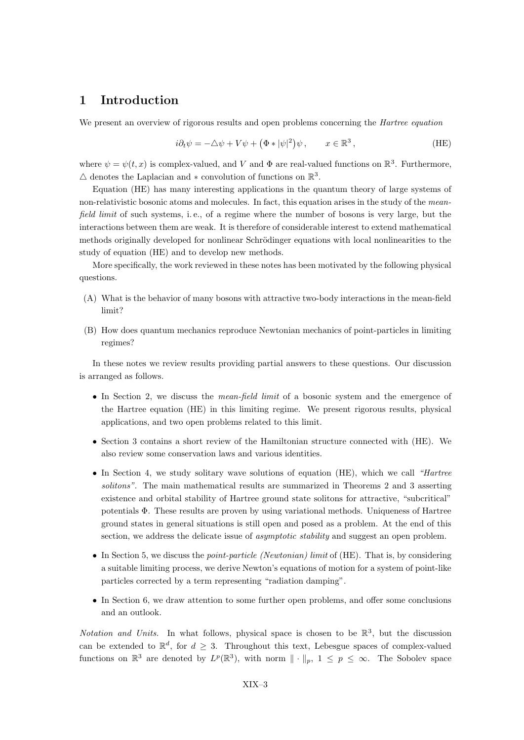## 1 Introduction

We present an overview of rigorous results and open problems concerning the *Hartree equation* 

$$
i\partial_t \psi = -\Delta \psi + V\psi + (\Phi * |\psi|^2)\psi, \qquad x \in \mathbb{R}^3,
$$
 (HE)

where  $\psi = \psi(t, x)$  is complex-valued, and V and  $\Phi$  are real-valued functions on  $\mathbb{R}^3$ . Furthermore,  $\triangle$  denotes the Laplacian and  $*$  convolution of functions on  $\mathbb{R}^3$ .

Equation (HE) has many interesting applications in the quantum theory of large systems of non-relativistic bosonic atoms and molecules. In fact, this equation arises in the study of the meanfield limit of such systems, i.e., of a regime where the number of bosons is very large, but the interactions between them are weak. It is therefore of considerable interest to extend mathematical methods originally developed for nonlinear Schrödinger equations with local nonlinearities to the study of equation (HE) and to develop new methods.

More specifically, the work reviewed in these notes has been motivated by the following physical questions.

- (A) What is the behavior of many bosons with attractive two-body interactions in the mean-field limit?
- (B) How does quantum mechanics reproduce Newtonian mechanics of point-particles in limiting regimes?

In these notes we review results providing partial answers to these questions. Our discussion is arranged as follows.

- In Section 2, we discuss the *mean-field limit* of a bosonic system and the emergence of the Hartree equation (HE) in this limiting regime. We present rigorous results, physical applications, and two open problems related to this limit.
- Section 3 contains a short review of the Hamiltonian structure connected with (HE). We also review some conservation laws and various identities.
- In Section 4, we study solitary wave solutions of equation (HE), which we call "Hartree solitons". The main mathematical results are summarized in Theorems 2 and 3 asserting existence and orbital stability of Hartree ground state solitons for attractive, "subcritical" potentials Φ. These results are proven by using variational methods. Uniqueness of Hartree ground states in general situations is still open and posed as a problem. At the end of this section, we address the delicate issue of *asymptotic stability* and suggest an open problem.
- In Section 5, we discuss the *point-particle (Newtonian) limit* of  $(HE)$ . That is, by considering a suitable limiting process, we derive Newton's equations of motion for a system of point-like particles corrected by a term representing "radiation damping".
- In Section 6, we draw attention to some further open problems, and offer some conclusions and an outlook.

Notation and Units. In what follows, physical space is chosen to be  $\mathbb{R}^3$ , but the discussion can be extended to  $\mathbb{R}^d$ , for  $d \geq 3$ . Throughout this text, Lebesgue spaces of complex-valued functions on  $\mathbb{R}^3$  are denoted by  $L^p(\mathbb{R}^3)$ , with norm  $\|\cdot\|_p$ ,  $1 \leq p \leq \infty$ . The Sobolev space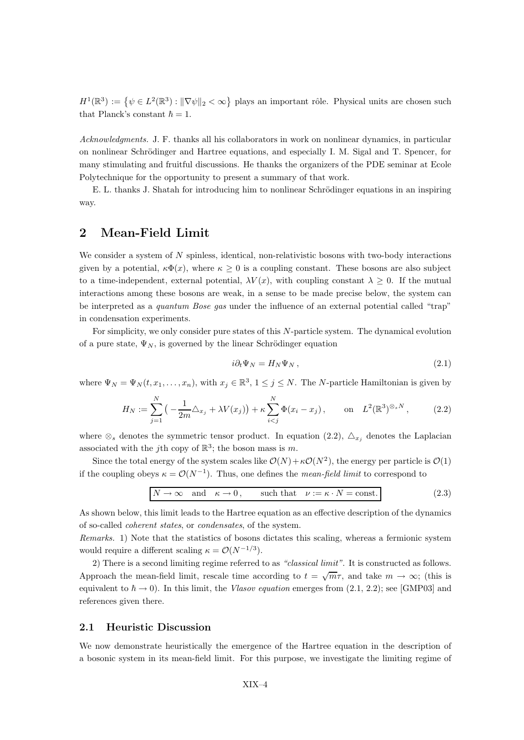$H^1(\mathbb{R}^3) := \{ \psi \in L^2(\mathbb{R}^3) : ||\nabla \psi||_2 < \infty \}$  plays an important rôle. Physical units are chosen such that Planck's constant  $\hbar = 1$ .

Acknowledgments. J. F. thanks all his collaborators in work on nonlinear dynamics, in particular on nonlinear Schrödinger and Hartree equations, and especially I. M. Sigal and T. Spencer, for many stimulating and fruitful discussions. He thanks the organizers of the PDE seminar at Ecole Polytechnique for the opportunity to present a summary of that work.

E. L. thanks J. Shatah for introducing him to nonlinear Schrödinger equations in an inspiring way.

## 2 Mean-Field Limit

We consider a system of N spinless, identical, non-relativistic bosons with two-body interactions given by a potential,  $\kappa \Phi(x)$ , where  $\kappa \geq 0$  is a coupling constant. These bosons are also subject to a time-independent, external potential,  $\lambda V(x)$ , with coupling constant  $\lambda \geq 0$ . If the mutual interactions among these bosons are weak, in a sense to be made precise below, the system can be interpreted as a quantum Bose gas under the influence of an external potential called "trap" in condensation experiments.

For simplicity, we only consider pure states of this N-particle system. The dynamical evolution of a pure state,  $\Psi_N$ , is governed by the linear Schrödinger equation

$$
i\partial_t \Psi_N = H_N \Psi_N \,, \tag{2.1}
$$

where  $\Psi_N = \Psi_N(t, x_1, \dots, x_n)$ , with  $x_j \in \mathbb{R}^3$ ,  $1 \le j \le N$ . The N-particle Hamiltonian is given by

$$
H_N := \sum_{j=1}^N \left( -\frac{1}{2m} \Delta_{x_j} + \lambda V(x_j) \right) + \kappa \sum_{i < j}^N \Phi(x_i - x_j), \qquad \text{on} \quad L^2(\mathbb{R}^3)^{\otimes_s N},\tag{2.2}
$$

where  $\otimes_s$  denotes the symmetric tensor product. In equation (2.2),  $\Delta_{x_i}$  denotes the Laplacian associated with the j<sup>th</sup> copy of  $\mathbb{R}^3$ ; the boson mass is m.

Since the total energy of the system scales like  $\mathcal{O}(N) + \kappa \mathcal{O}(N^2)$ , the energy per particle is  $\mathcal{O}(1)$ if the coupling obeys  $\kappa = \mathcal{O}(N^{-1})$ . Thus, one defines the *mean-field limit* to correspond to

$$
N \to \infty
$$
 and  $\kappa \to 0$ , such that  $\nu := \kappa \cdot N = \text{const.}$  (2.3)

As shown below, this limit leads to the Hartree equation as an effective description of the dynamics of so-called coherent states, or condensates, of the system.

Remarks. 1) Note that the statistics of bosons dictates this scaling, whereas a fermionic system would require a different scaling  $\kappa = \mathcal{O}(N^{-1/3})$ .

2) There is a second limiting regime referred to as "classical limit". It is constructed as follows. Approach the mean-field limit, rescale time according to  $t = \sqrt{m}\tau$ , and take  $m \to \infty$ ; (this is equivalent to  $\hbar \to 0$ ). In this limit, the Vlasov equation emerges from (2.1, 2.2); see [GMP03] and references given there.

#### 2.1 Heuristic Discussion

We now demonstrate heuristically the emergence of the Hartree equation in the description of a bosonic system in its mean-field limit. For this purpose, we investigate the limiting regime of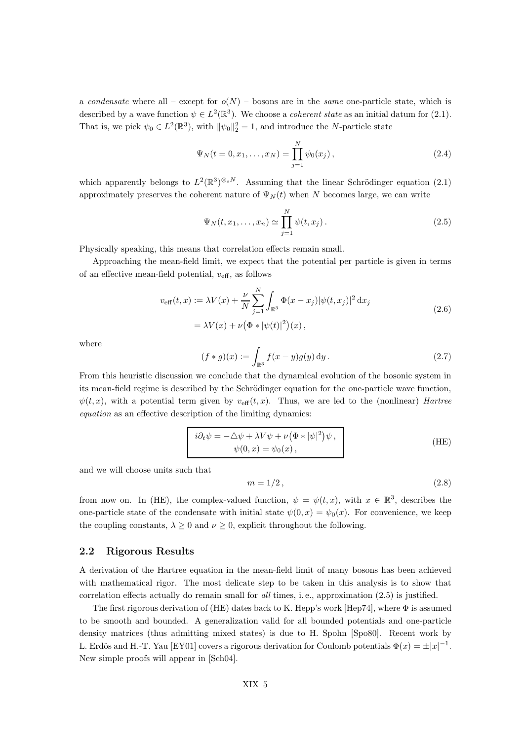a condensate where all – except for  $o(N)$  – bosons are in the same one-particle state, which is described by a wave function  $\psi \in L^2(\mathbb{R}^3)$ . We choose a *coherent state* as an initial datum for (2.1). That is, we pick  $\psi_0 \in L^2(\mathbb{R}^3)$ , with  $\|\psi_0\|_2^2 = 1$ , and introduce the N-particle state

$$
\Psi_N(t = 0, x_1, \dots, x_N) = \prod_{j=1}^N \psi_0(x_j), \qquad (2.4)
$$

which apparently belongs to  $L^2(\mathbb{R}^3)^{\otimes_s N}$ . Assuming that the linear Schrödinger equation (2.1) approximately preserves the coherent nature of  $\Psi_N(t)$  when N becomes large, we can write

$$
\Psi_N(t, x_1, \dots, x_n) \simeq \prod_{j=1}^N \psi(t, x_j).
$$
\n(2.5)

Physically speaking, this means that correlation effects remain small.

Approaching the mean-field limit, we expect that the potential per particle is given in terms of an effective mean-field potential,  $v_{\text{eff}}$ , as follows

$$
v_{\text{eff}}(t,x) := \lambda V(x) + \frac{\nu}{N} \sum_{j=1}^{N} \int_{\mathbb{R}^3} \Phi(x - x_j) |\psi(t, x_j)|^2 dx_j
$$
  
=  $\lambda V(x) + \nu (\Phi * |\psi(t)|^2)(x)$ , (2.6)

where

$$
(f * g)(x) := \int_{\mathbb{R}^3} f(x - y)g(y) \, dy.
$$
 (2.7)

From this heuristic discussion we conclude that the dynamical evolution of the bosonic system in its mean-field regime is described by the Schrödinger equation for the one-particle wave function,  $\psi(t, x)$ , with a potential term given by  $v_{\text{eff}}(t, x)$ . Thus, we are led to the (nonlinear) Hartree equation as an effective description of the limiting dynamics:

$$
i\partial_t \psi = -\Delta \psi + \lambda V \psi + \nu (\Phi * |\psi|^2) \psi ,
$$
  
\n
$$
\psi(0, x) = \psi_0(x) ,
$$
 (HE)

and we will choose units such that

$$
m = 1/2, \tag{2.8}
$$

from now on. In (HE), the complex-valued function,  $\psi = \psi(t, x)$ , with  $x \in \mathbb{R}^3$ , describes the one-particle state of the condensate with initial state  $\psi(0, x) = \psi_0(x)$ . For convenience, we keep the coupling constants,  $\lambda > 0$  and  $\nu > 0$ , explicit throughout the following.

#### 2.2 Rigorous Results

A derivation of the Hartree equation in the mean-field limit of many bosons has been achieved with mathematical rigor. The most delicate step to be taken in this analysis is to show that correlation effects actually do remain small for all times, i. e., approximation (2.5) is justified.

The first rigorous derivation of (HE) dates back to K. Hepp's work [Hep74], where  $\Phi$  is assumed to be smooth and bounded. A generalization valid for all bounded potentials and one-particle density matrices (thus admitting mixed states) is due to H. Spohn [Spo80]. Recent work by L. Erdös and H.-T. Yau [EY01] covers a rigorous derivation for Coulomb potentials  $\Phi(x) = \pm |x|^{-1}$ . New simple proofs will appear in [Sch04].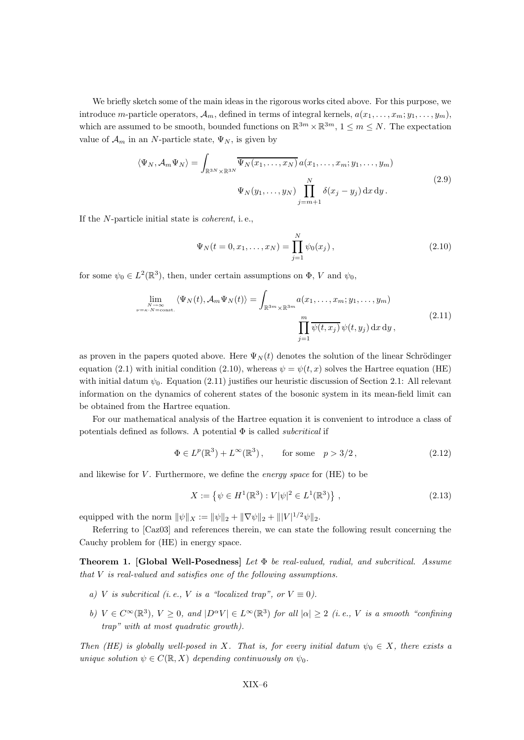We briefly sketch some of the main ideas in the rigorous works cited above. For this purpose, we introduce m-particle operators,  $A_m$ , defined in terms of integral kernels,  $a(x_1, \ldots, x_m; y_1, \ldots, y_m)$ , which are assumed to be smooth, bounded functions on  $\mathbb{R}^{3m} \times \mathbb{R}^{3m}$ ,  $1 \le m \le N$ . The expectation value of  $\mathcal{A}_m$  in an N-particle state,  $\Psi_N$ , is given by

$$
\langle \Psi_N, \mathcal{A}_m \Psi_N \rangle = \int_{\mathbb{R}^{3N} \times \mathbb{R}^{3N}} \overline{\Psi_N(x_1, \dots, x_N)} \, a(x_1, \dots, x_m; y_1, \dots, y_m)
$$
\n
$$
\Psi_N(y_1, \dots, y_N) \prod_{j=m+1}^N \delta(x_j - y_j) \, dx \, dy \, .
$$
\n(2.9)

If the N-particle initial state is coherent, i. e.,

$$
\Psi_N(t = 0, x_1, \dots, x_N) = \prod_{j=1}^N \psi_0(x_j), \qquad (2.10)
$$

for some  $\psi_0 \in L^2(\mathbb{R}^3)$ , then, under certain assumptions on  $\Phi$ , V and  $\psi_0$ ,

$$
\lim_{\substack{N \to \infty \\ \nu = \kappa \cdot N = \text{const.}}} \langle \Psi_N(t), \mathcal{A}_m \Psi_N(t) \rangle = \int_{\mathbb{R}^{3m} \times \mathbb{R}^{3m}} a(x_1, \dots, x_m; y_1, \dots, y_m)
$$
\n
$$
\prod_{j=1}^m \overline{\psi(t, x_j)} \psi(t, y_j) \, dx \, dy,
$$
\n(2.11)

as proven in the papers quoted above. Here  $\Psi_N(t)$  denotes the solution of the linear Schrödinger equation (2.1) with initial condition (2.10), whereas  $\psi = \psi(t, x)$  solves the Hartree equation (HE) with initial datum  $\psi_0$ . Equation (2.11) justifies our heuristic discussion of Section 2.1: All relevant information on the dynamics of coherent states of the bosonic system in its mean-field limit can be obtained from the Hartree equation.

For our mathematical analysis of the Hartree equation it is convenient to introduce a class of potentials defined as follows. A potential  $\Phi$  is called *subcritical* if

$$
\Phi \in L^p(\mathbb{R}^3) + L^\infty(\mathbb{R}^3), \qquad \text{for some} \quad p > 3/2, \tag{2.12}
$$

and likewise for  $V$ . Furthermore, we define the *energy space* for  $(HE)$  to be

$$
X := \left\{ \psi \in H^{1}(\mathbb{R}^{3}) : V|\psi|^{2} \in L^{1}(\mathbb{R}^{3}) \right\},
$$
\n(2.13)

equipped with the norm  $\|\psi\|_X := \|\psi\|_2 + \|\nabla\psi\|_2 + \| |V|^{1/2}\psi\|_2$ .

Referring to [Caz03] and references therein, we can state the following result concerning the Cauchy problem for (HE) in energy space.

**Theorem 1. [Global Well-Posedness**] Let  $\Phi$  be real-valued, radial, and subcritical. Assume that V is real-valued and satisfies one of the following assumptions.

- a) V is subcritical (i.e., V is a "localized trap", or  $V \equiv 0$ ).
- b)  $V \in C^{\infty}(\mathbb{R}^3)$ ,  $V \ge 0$ , and  $|D^{\alpha}V| \in L^{\infty}(\mathbb{R}^3)$  for all  $|\alpha| \ge 2$  (i.e., V is a smooth "confining trap" with at most quadratic growth).

Then (HE) is globally well-posed in X. That is, for every initial datum  $\psi_0 \in X$ , there exists a unique solution  $\psi \in C(\mathbb{R}, X)$  depending continuously on  $\psi_0$ .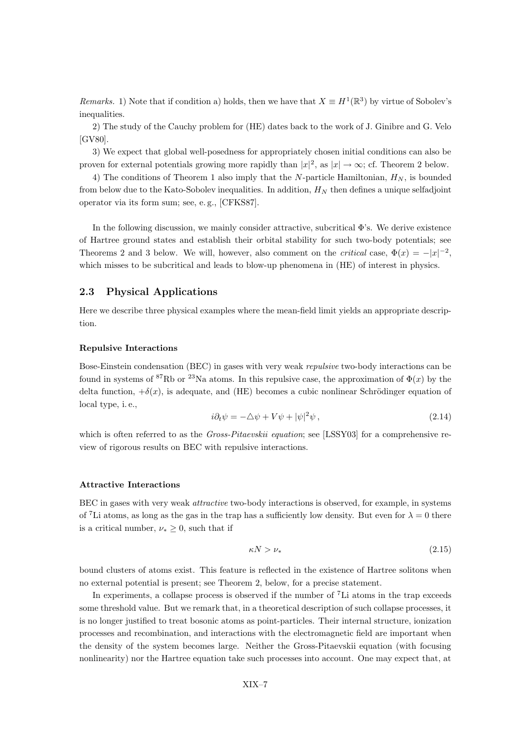*Remarks.* 1) Note that if condition a) holds, then we have that  $X \equiv H^1(\mathbb{R}^3)$  by virtue of Sobolev's inequalities.

2) The study of the Cauchy problem for (HE) dates back to the work of J. Ginibre and G. Velo [GV80].

3) We expect that global well-posedness for appropriately chosen initial conditions can also be proven for external potentials growing more rapidly than  $|x|^2$ , as  $|x| \to \infty$ ; cf. Theorem 2 below.

4) The conditions of Theorem 1 also imply that the N-particle Hamiltonian,  $H_N$ , is bounded from below due to the Kato-Sobolev inequalities. In addition,  $H_N$  then defines a unique selfadjoint operator via its form sum; see, e. g., [CFKS87].

In the following discussion, we mainly consider attractive, subcritical Φ's. We derive existence of Hartree ground states and establish their orbital stability for such two-body potentials; see Theorems 2 and 3 below. We will, however, also comment on the *critical* case,  $\Phi(x) = -|x|^{-2}$ , which misses to be subcritical and leads to blow-up phenomena in  $(HE)$  of interest in physics.

#### 2.3 Physical Applications

Here we describe three physical examples where the mean-field limit yields an appropriate description.

#### Repulsive Interactions

Bose-Einstein condensation (BEC) in gases with very weak repulsive two-body interactions can be found in systems of <sup>87</sup>Rb or <sup>23</sup>Na atoms. In this repulsive case, the approximation of  $\Phi(x)$  by the delta function,  $+\delta(x)$ , is adequate, and (HE) becomes a cubic nonlinear Schrödinger equation of local type, i. e.,

$$
i\partial_t \psi = -\Delta \psi + V\psi + |\psi|^2 \psi , \qquad (2.14)
$$

which is often referred to as the *Gross-Pitaevskii equation*; see [LSSY03] for a comprehensive review of rigorous results on BEC with repulsive interactions.

#### Attractive Interactions

BEC in gases with very weak attractive two-body interactions is observed, for example, in systems of <sup>7</sup>Li atoms, as long as the gas in the trap has a sufficiently low density. But even for  $\lambda = 0$  there is a critical number,  $\nu_* \geq 0$ , such that if

$$
\kappa N > \nu_* \tag{2.15}
$$

bound clusters of atoms exist. This feature is reflected in the existence of Hartree solitons when no external potential is present; see Theorem 2, below, for a precise statement.

In experiments, a collapse process is observed if the number of <sup>7</sup>Li atoms in the trap exceeds some threshold value. But we remark that, in a theoretical description of such collapse processes, it is no longer justified to treat bosonic atoms as point-particles. Their internal structure, ionization processes and recombination, and interactions with the electromagnetic field are important when the density of the system becomes large. Neither the Gross-Pitaevskii equation (with focusing nonlinearity) nor the Hartree equation take such processes into account. One may expect that, at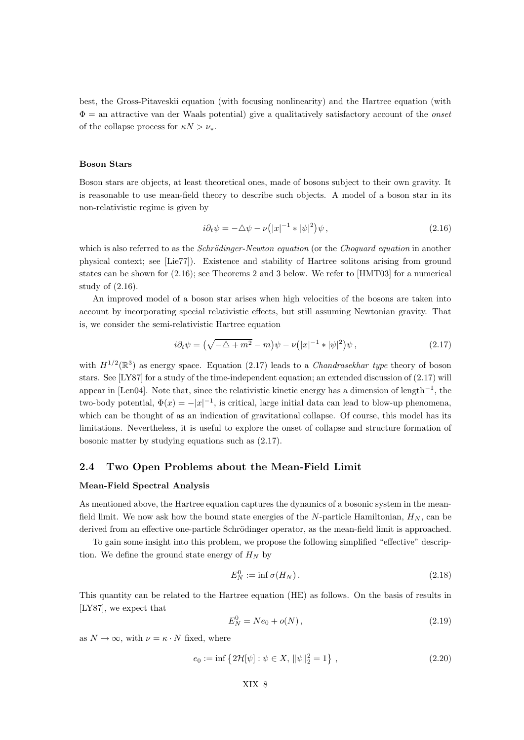best, the Gross-Pitaveskii equation (with focusing nonlinearity) and the Hartree equation (with  $\Phi =$  an attractive van der Waals potential) give a qualitatively satisfactory account of the *onset* of the collapse process for  $\kappa N > \nu_*$ .

#### Boson Stars

Boson stars are objects, at least theoretical ones, made of bosons subject to their own gravity. It is reasonable to use mean-field theory to describe such objects. A model of a boson star in its non-relativistic regime is given by

$$
i\partial_t \psi = -\Delta \psi - \nu \left( |x|^{-1} * |\psi|^2 \right) \psi , \qquad (2.16)
$$

which is also referred to as the *Schrödinger-Newton equation* (or the *Choquard equation* in another physical context; see [Lie77]). Existence and stability of Hartree solitons arising from ground states can be shown for (2.16); see Theorems 2 and 3 below. We refer to [HMT03] for a numerical study of (2.16).

An improved model of a boson star arises when high velocities of the bosons are taken into account by incorporating special relativistic effects, but still assuming Newtonian gravity. That is, we consider the semi-relativistic Hartree equation

$$
i\partial_t \psi = \left(\sqrt{-\Delta + m^2} - m\right)\psi - \nu\left(|x|^{-1} * |\psi|^2\right)\psi, \tag{2.17}
$$

with  $H^{1/2}(\mathbb{R}^3)$  as energy space. Equation (2.17) leads to a *Chandrasekhar type* theory of boson stars. See [LY87] for a study of the time-independent equation; an extended discussion of (2.17) will appear in [Len04]. Note that, since the relativistic kinetic energy has a dimension of length<sup>−</sup><sup>1</sup> , the two-body potential,  $\Phi(x) = -|x|^{-1}$ , is critical, large initial data can lead to blow-up phenomena, which can be thought of as an indication of gravitational collapse. Of course, this model has its limitations. Nevertheless, it is useful to explore the onset of collapse and structure formation of bosonic matter by studying equations such as (2.17).

#### 2.4 Two Open Problems about the Mean-Field Limit

#### Mean-Field Spectral Analysis

As mentioned above, the Hartree equation captures the dynamics of a bosonic system in the meanfield limit. We now ask how the bound state energies of the N-particle Hamiltonian,  $H_N$ , can be derived from an effective one-particle Schrödinger operator, as the mean-field limit is approached.

To gain some insight into this problem, we propose the following simplified "effective" description. We define the ground state energy of  $H_N$  by

$$
E_N^0 := \inf \sigma(H_N). \tag{2.18}
$$

This quantity can be related to the Hartree equation (HE) as follows. On the basis of results in [LY87], we expect that

$$
E_N^0 = Ne_0 + o(N), \qquad (2.19)
$$

as  $N \to \infty$ , with  $\nu = \kappa \cdot N$  fixed, where

$$
e_0 := \inf \left\{ 2\mathcal{H}[\psi] : \psi \in X, \ \|\psi\|_2^2 = 1 \right\},\tag{2.20}
$$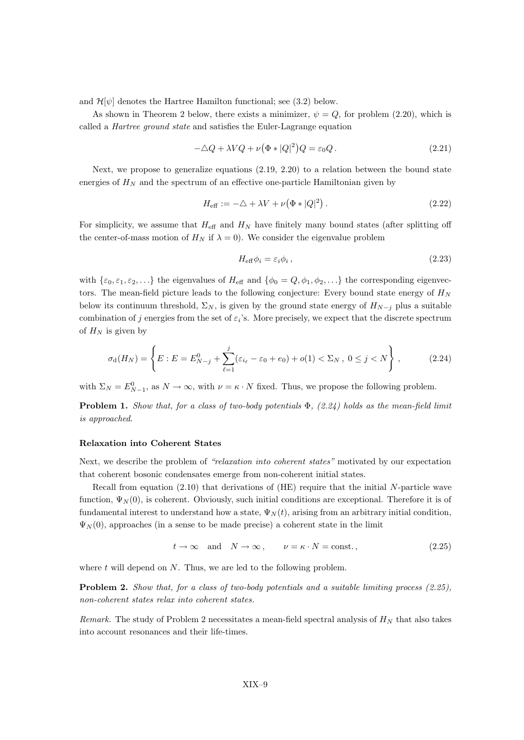and  $\mathcal{H}[\psi]$  denotes the Hartree Hamilton functional; see (3.2) below.

As shown in Theorem 2 below, there exists a minimizer,  $\psi = Q$ , for problem (2.20), which is called a Hartree ground state and satisfies the Euler-Lagrange equation

$$
-\Delta Q + \lambda V Q + \nu (\Phi * |Q|^2) Q = \varepsilon_0 Q. \qquad (2.21)
$$

Next, we propose to generalize equations (2.19, 2.20) to a relation between the bound state energies of  $H_N$  and the spectrum of an effective one-particle Hamiltonian given by

$$
H_{\text{eff}} := -\Delta + \lambda V + \nu \left(\Phi * |Q|^2\right). \tag{2.22}
$$

For simplicity, we assume that  $H_{\text{eff}}$  and  $H_N$  have finitely many bound states (after splitting off the center-of-mass motion of  $H_N$  if  $\lambda = 0$ ). We consider the eigenvalue problem

$$
H_{\text{eff}}\phi_i = \varepsilon_i \phi_i , \qquad (2.23)
$$

with  $\{\varepsilon_0, \varepsilon_1, \varepsilon_2, \ldots\}$  the eigenvalues of  $H_{\text{eff}}$  and  $\{\phi_0 = Q, \phi_1, \phi_2, \ldots\}$  the corresponding eigenvectors. The mean-field picture leads to the following conjecture: Every bound state energy of  $H_N$ below its continuum threshold,  $\Sigma_N$ , is given by the ground state energy of  $H_{N-j}$  plus a suitable combination of j energies from the set of  $\varepsilon_i$ 's. More precisely, we expect that the discrete spectrum of  $H_N$  is given by

$$
\sigma_{\rm d}(H_N) = \left\{ E : E = E_{N-j}^0 + \sum_{\ell=1}^j (\varepsilon_{i_\ell} - \varepsilon_0 + e_0) + o(1) < \Sigma_N, \ 0 \le j < N \right\},\tag{2.24}
$$

with  $\Sigma_N = E^0_{N-1}$ , as  $N \to \infty$ , with  $\nu = \kappa \cdot N$  fixed. Thus, we propose the following problem.

**Problem 1.** Show that, for a class of two-body potentials  $\Phi$ , (2.24) holds as the mean-field limit is approached.

#### Relaxation into Coherent States

Next, we describe the problem of "relaxation into coherent states" motivated by our expectation that coherent bosonic condensates emerge from non-coherent initial states.

Recall from equation  $(2.10)$  that derivations of  $(HE)$  require that the initial N-particle wave function,  $\Psi_N(0)$ , is coherent. Obviously, such initial conditions are exceptional. Therefore it is of fundamental interest to understand how a state,  $\Psi_N(t)$ , arising from an arbitrary initial condition,  $\Psi_N(0)$ , approaches (in a sense to be made precise) a coherent state in the limit

$$
t \to \infty
$$
 and  $N \to \infty$ ,  $\nu = \kappa \cdot N = \text{const.}$ , (2.25)

where  $t$  will depend on  $N$ . Thus, we are led to the following problem.

Problem 2. Show that, for a class of two-body potentials and a suitable limiting process (2.25), non-coherent states relax into coherent states.

Remark. The study of Problem 2 necessitates a mean-field spectral analysis of  $H_N$  that also takes into account resonances and their life-times.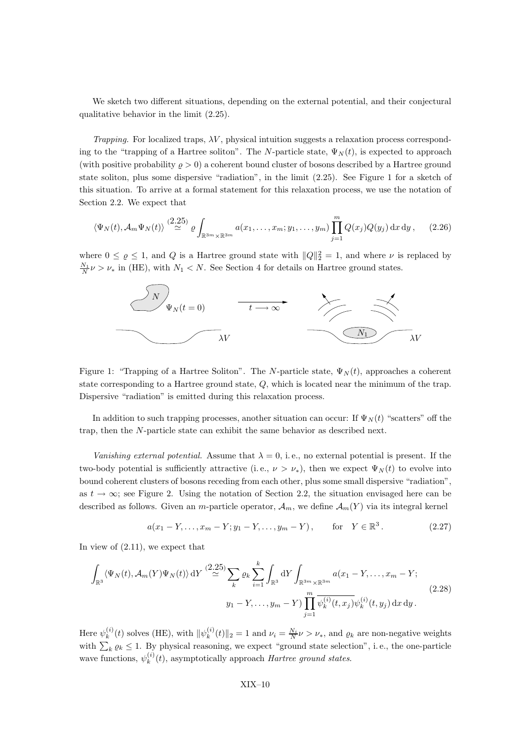We sketch two different situations, depending on the external potential, and their conjectural qualitative behavior in the limit (2.25).

Trapping. For localized traps,  $\lambda V$ , physical intuition suggests a relaxation process corresponding to the "trapping of a Hartree soliton". The N-particle state,  $\Psi_N(t)$ , is expected to approach (with positive probability  $\rho > 0$ ) a coherent bound cluster of bosons described by a Hartree ground state soliton, plus some dispersive "radiation", in the limit (2.25). See Figure 1 for a sketch of this situation. To arrive at a formal statement for this relaxation process, we use the notation of Section 2.2. We expect that

$$
\langle \Psi_N(t), \mathcal{A}_m \Psi_N(t) \rangle \stackrel{(2.25)}{\simeq} \varrho \int_{\mathbb{R}^{3m} \times \mathbb{R}^{3m}} a(x_1, \dots, x_m; y_1, \dots, y_m) \prod_{j=1}^m Q(x_j) Q(y_j) \, dx \, dy \,, \tag{2.26}
$$

where  $0 \le \varrho \le 1$ , and  $Q$  is a Hartree ground state with  $||Q||_2^2 = 1$ , and where  $\nu$  is replaced by  $\frac{N_1}{N}\nu > \nu_*$  in (HE), with  $N_1 < N$ . See Section 4 for details on Hartree ground states.  $N = \frac{1}{2}$ 



Figure 1: "Trapping of a Hartree Soliton". The N-particle state,  $\Psi_N(t)$ , approaches a coherent state corresponding to a Hartree ground state, Q, which is located near the minimum of the trap. Dispersive "radiation" is emitted during this relaxation process.

In addition to such trapping processes, another situation can occur: If  $\Psi_N(t)$  "scatters" off the trap, then the N-particle state can exhibit the same behavior as described next.

Vanishing external potential. Assume that  $\lambda = 0$ , i.e., no external potential is present. If the two-body potential is sufficiently attractive (i.e.,  $\nu > \nu_*$ ), then we expect  $\Psi_N(t)$  to evolve into bound coherent clusters of bosons receding from each other, plus some small dispersive "radiation", as  $t \to \infty$ ; see Figure 2. Using the notation of Section 2.2, the situation envisaged here can be described as follows. Given an *m*-particle operator,  $\mathcal{A}_m$ , we define  $\mathcal{A}_m(Y)$  via its integral kernel

$$
a(x_1 - Y, ..., x_m - Y; y_1 - Y, ..., y_m - Y)
$$
, for  $Y \in \mathbb{R}^3$ . (2.27)

In view of (2.11), we expect that

$$
\int_{\mathbb{R}^3} \langle \Psi_N(t), \mathcal{A}_m(Y) \Psi_N(t) \rangle \, \mathrm{d}Y \stackrel{(2.25)}{\simeq} \sum_k \varrho_k \sum_{i=1}^k \int_{\mathbb{R}^3} \mathrm{d}Y \int_{\mathbb{R}^{3m} \times \mathbb{R}^{3m}} a(x_1 - Y, \dots, x_m - Y; \\
y_1 - Y, \dots, y_m - Y) \prod_{j=1}^m \overline{\psi_k^{(i)}(t, x_j)} \psi_k^{(i)}(t, y_j) \, \mathrm{d}x \, \mathrm{d}y \,.
$$
\n
$$
(2.28)
$$

Here  $\psi_k^{(i)}$  $\mathbf{g}_k^{(i)}(t)$  solves (HE), with  $\|\psi_k^{(i)}\|$  $\|k_k^{(i)}(t)\|_2 = 1$  and  $\nu_i = \frac{N_i}{N} \nu > \nu_*$ , and  $\varrho_k$  are non-negative weights with  $\sum_k \varrho_k \leq 1$ . By physical reasoning, we expect "ground state selection", i.e., the one-particle wave functions,  $\psi_k^{(i)}$  $k^{(i)}(t)$ , asymptotically approach *Hartree ground states*.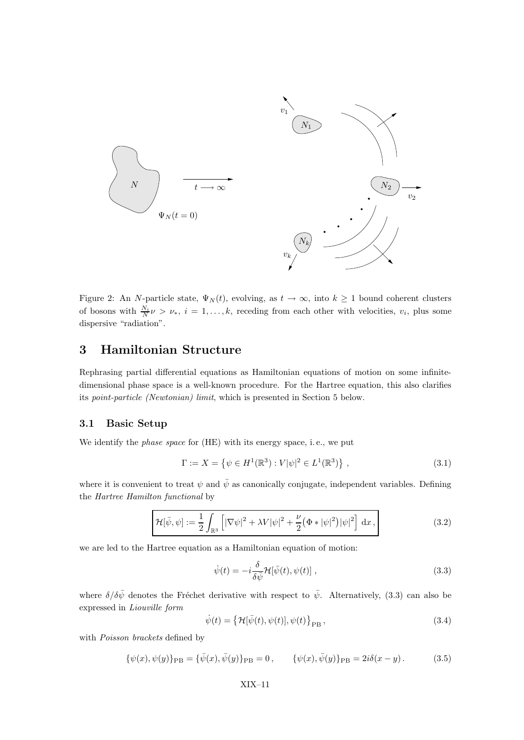

Figure 2: An N-particle state,  $\Psi_N(t)$ , evolving, as  $t \to \infty$ , into  $k \ge 1$  bound coherent clusters of bosons with  $\frac{N_i}{N}\nu > \nu_*$ ,  $i = 1, ..., k$ , receding from each other with velocities,  $v_i$ , plus some dispersive "radiation".

## 3 Hamiltonian Structure

Rephrasing partial differential equations as Hamiltonian equations of motion on some infinitedimensional phase space is a well-known procedure. For the Hartree equation, this also clarifies its point-particle (Newtonian) limit, which is presented in Section 5 below.

#### 3.1 Basic Setup

We identify the phase space for (HE) with its energy space, i. e., we put

$$
\Gamma := X = \left\{ \psi \in H^{1}(\mathbb{R}^{3}) : V|\psi|^{2} \in L^{1}(\mathbb{R}^{3}) \right\},\tag{3.1}
$$

where it is convenient to treat  $\psi$  and  $\bar{\psi}$  as canonically conjugate, independent variables. Defining the Hartree Hamilton functional by

$$
\mathcal{H}[\bar{\psi}, \psi] := \frac{1}{2} \int_{\mathbb{R}^3} \left[ |\nabla \psi|^2 + \lambda V |\psi|^2 + \frac{\nu}{2} (\Phi * |\psi|^2) |\psi|^2 \right] dx , \qquad (3.2)
$$

we are led to the Hartree equation as a Hamiltonian equation of motion:

$$
\dot{\psi}(t) = -i\frac{\delta}{\delta\bar{\psi}}\mathcal{H}[\bar{\psi}(t), \psi(t)],
$$
\n(3.3)

where  $\delta/\delta\bar{\psi}$  denotes the Fréchet derivative with respect to  $\bar{\psi}$ . Alternatively, (3.3) can also be expressed in Liouville form

$$
\dot{\psi}(t) = \left\{ \mathcal{H}[\bar{\psi}(t), \psi(t)], \psi(t) \right\}_{\text{PB}},\tag{3.4}
$$

with Poisson brackets defined by

$$
\{\psi(x), \psi(y)\}_{\text{PB}} = \{\bar{\psi}(x), \bar{\psi}(y)\}_{\text{PB}} = 0, \qquad \{\psi(x), \bar{\psi}(y)\}_{\text{PB}} = 2i\delta(x - y). \tag{3.5}
$$

#### XIX–11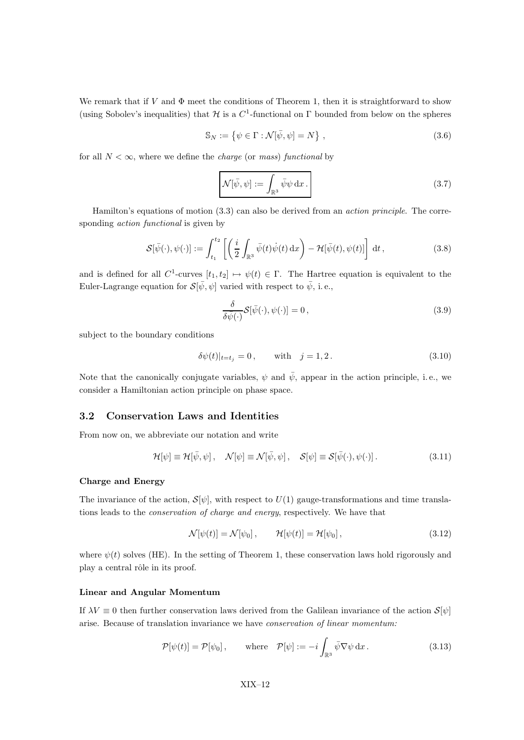We remark that if V and  $\Phi$  meet the conditions of Theorem 1, then it is straightforward to show (using Sobolev's inequalities) that  $\mathcal H$  is a  $C^1$ -functional on  $\Gamma$  bounded from below on the spheres

$$
\mathbb{S}_N := \left\{ \psi \in \Gamma : \mathcal{N}[\bar{\psi}, \psi] = N \right\},\tag{3.6}
$$

for all  $N < \infty$ , where we define the *charge* (or *mass*) functional by

$$
\mathcal{N}[\bar{\psi}, \psi] := \int_{\mathbb{R}^3} \bar{\psi} \psi \, \mathrm{d}x \,. \tag{3.7}
$$

Hamilton's equations of motion (3.3) can also be derived from an action principle. The corresponding *action functional* is given by

$$
\mathcal{S}[\bar{\psi}(\cdot),\psi(\cdot)]:=\int_{t_1}^{t_2}\left[\left(\frac{i}{2}\int_{\mathbb{R}^3}\bar{\psi}(t)\dot{\psi}(t)\,\mathrm{d}x\right)-\mathcal{H}[\bar{\psi}(t),\psi(t)]\right]\,\mathrm{d}t\,,\tag{3.8}
$$

and is defined for all  $C^1$ -curves  $[t_1,t_2] \mapsto \psi(t) \in \Gamma$ . The Hartree equation is equivalent to the Euler-Lagrange equation for  $\mathcal{S}[\bar{\psi}, \psi]$  varied with respect to  $\bar{\psi}$ , i.e.,

$$
\frac{\delta}{\delta \bar{\psi}(\cdot)} \mathcal{S}[\bar{\psi}(\cdot), \psi(\cdot)] = 0, \qquad (3.9)
$$

subject to the boundary conditions

$$
\delta \psi(t)|_{t=t_j} = 0,
$$
 with  $j = 1, 2.$  (3.10)

Note that the canonically conjugate variables,  $\psi$  and  $\bar{\psi}$ , appear in the action principle, i.e., we consider a Hamiltonian action principle on phase space.

#### 3.2 Conservation Laws and Identities

From now on, we abbreviate our notation and write

$$
\mathcal{H}[\psi] \equiv \mathcal{H}[\bar{\psi}, \psi], \quad \mathcal{N}[\psi] \equiv \mathcal{N}[\bar{\psi}, \psi], \quad \mathcal{S}[\psi] \equiv \mathcal{S}[\bar{\psi}(\cdot), \psi(\cdot)]. \tag{3.11}
$$

#### Charge and Energy

The invariance of the action,  $S[\psi]$ , with respect to  $U(1)$  gauge-transformations and time translations leads to the conservation of charge and energy, respectively. We have that

$$
\mathcal{N}[\psi(t)] = \mathcal{N}[\psi_0], \qquad \mathcal{H}[\psi(t)] = \mathcal{H}[\psi_0], \qquad (3.12)
$$

where  $\psi(t)$  solves (HE). In the setting of Theorem 1, these conservation laws hold rigorously and play a central rôle in its proof.

#### Linear and Angular Momentum

If  $\lambda V \equiv 0$  then further conservation laws derived from the Galilean invariance of the action  $\mathcal{S}[\psi]$ arise. Because of translation invariance we have conservation of linear momentum:

$$
\mathcal{P}[\psi(t)] = \mathcal{P}[\psi_0], \quad \text{where} \quad \mathcal{P}[\psi] := -i \int_{\mathbb{R}^3} \bar{\psi} \nabla \psi \, \mathrm{d}x. \tag{3.13}
$$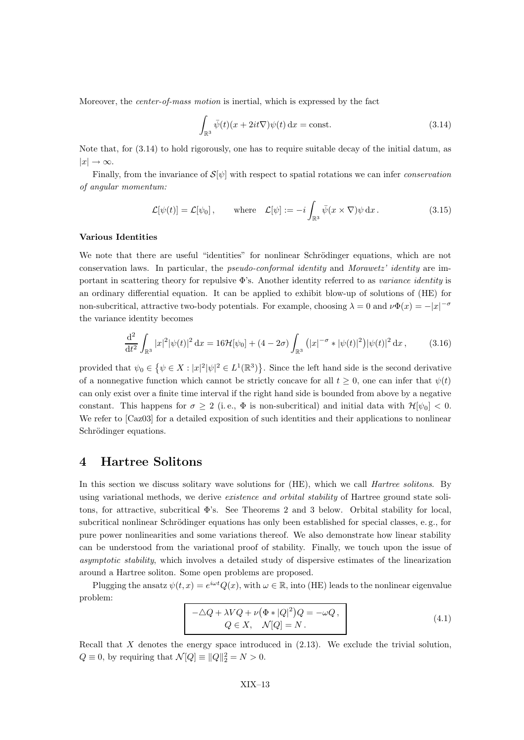Moreover, the *center-of-mass motion* is inertial, which is expressed by the fact

$$
\int_{\mathbb{R}^3} \bar{\psi}(t)(x+2it\nabla)\psi(t) \, \mathrm{d}x = \text{const.} \tag{3.14}
$$

Note that, for (3.14) to hold rigorously, one has to require suitable decay of the initial datum, as  $|x| \to \infty$ .

Finally, from the invariance of  $S[\psi]$  with respect to spatial rotations we can infer *conservation* of angular momentum:

$$
\mathcal{L}[\psi(t)] = \mathcal{L}[\psi_0], \quad \text{where} \quad \mathcal{L}[\psi] := -i \int_{\mathbb{R}^3} \bar{\psi}(x \times \nabla)\psi \,dx. \tag{3.15}
$$

#### Various Identities

We note that there are useful "identities" for nonlinear Schrödinger equations, which are not conservation laws. In particular, the pseudo-conformal identity and Morawetz' identity are important in scattering theory for repulsive  $\Phi$ 's. Another identity referred to as variance identity is an ordinary differential equation. It can be applied to exhibit blow-up of solutions of (HE) for non-subcritical, attractive two-body potentials. For example, choosing  $\lambda = 0$  and  $\nu\Phi(x) = -|x|^{-\sigma}$ the variance identity becomes

$$
\frac{\mathrm{d}^2}{\mathrm{d}t^2} \int_{\mathbb{R}^3} |x|^2 |\psi(t)|^2 \, \mathrm{d}x = 16 \mathcal{H}[\psi_0] + (4 - 2\sigma) \int_{\mathbb{R}^3} (|x|^{-\sigma} * |\psi(t)|^2) |\psi(t)|^2 \, \mathrm{d}x \,, \tag{3.16}
$$

provided that  $\psi_0 \in \{ \psi \in X : |x|^2 | \psi|^2 \in L^1(\mathbb{R}^3) \}$ . Since the left hand side is the second derivative of a nonnegative function which cannot be strictly concave for all  $t \geq 0$ , one can infer that  $\psi(t)$ can only exist over a finite time interval if the right hand side is bounded from above by a negative constant. This happens for  $\sigma \geq 2$  (i.e.,  $\Phi$  is non-subcritical) and initial data with  $\mathcal{H}[\psi_0] < 0$ . We refer to [Caz03] for a detailed exposition of such identities and their applications to nonlinear Schrödinger equations.

## 4 Hartree Solitons

In this section we discuss solitary wave solutions for (HE), which we call *Hartree solitons*. By using variational methods, we derive *existence and orbital stability* of Hartree ground state solitons, for attractive, subcritical Φ's. See Theorems 2 and 3 below. Orbital stability for local, subcritical nonlinear Schrödinger equations has only been established for special classes, e.g., for pure power nonlinearities and some variations thereof. We also demonstrate how linear stability can be understood from the variational proof of stability. Finally, we touch upon the issue of asymptotic stability, which involves a detailed study of dispersive estimates of the linearization around a Hartree soliton. Some open problems are proposed.

Plugging the ansatz  $\psi(t,x) = e^{i\omega t} Q(x)$ , with  $\omega \in \mathbb{R}$ , into (HE) leads to the nonlinear eigenvalue problem:

$$
-\Delta Q + \lambda VQ + \nu (\Phi * |Q|^2)Q = -\omega Q,
$$
  
\n
$$
Q \in X, \quad \mathcal{N}[Q] = N.
$$
\n(4.1)

Recall that  $X$  denotes the energy space introduced in  $(2.13)$ . We exclude the trivial solution,  $Q \equiv 0$ , by requiring that  $\mathcal{N}[Q] \equiv ||Q||_2^2 = N > 0$ .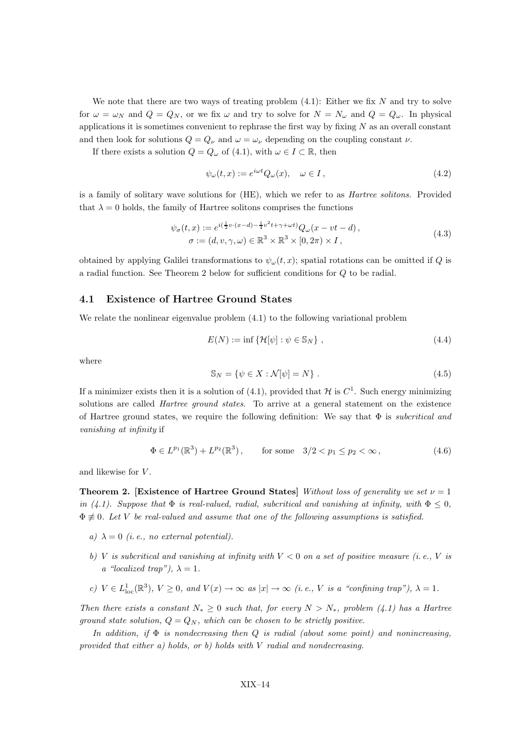We note that there are two ways of treating problem  $(4.1)$ : Either we fix N and try to solve for  $\omega = \omega_N$  and  $Q = Q_N$ , or we fix  $\omega$  and try to solve for  $N = N_\omega$  and  $Q = Q_\omega$ . In physical applications it is sometimes convenient to rephrase the first way by fixing  $N$  as an overall constant and then look for solutions  $Q = Q_{\nu}$  and  $\omega = \omega_{\nu}$  depending on the coupling constant  $\nu$ .

If there exists a solution  $Q = Q_{\omega}$  of (4.1), with  $\omega \in I \subset \mathbb{R}$ , then

$$
\psi_{\omega}(t,x) := e^{i\omega t} Q_{\omega}(x), \quad \omega \in I, \tag{4.2}
$$

is a family of solitary wave solutions for (HE), which we refer to as Hartree solitons. Provided that  $\lambda = 0$  holds, the family of Hartree solitons comprises the functions

$$
\psi_{\sigma}(t,x) := e^{i(\frac{1}{2}\upsilon \cdot (x-d) - \frac{1}{4}\upsilon^2 t + \gamma + \omega t)} Q_{\omega}(x - \upsilon t - d),
$$
\n
$$
\sigma := (d, \upsilon, \gamma, \omega) \in \mathbb{R}^3 \times \mathbb{R}^3 \times [0, 2\pi) \times I,
$$
\n(4.3)

obtained by applying Galilei transformations to  $\psi_{\omega}(t, x)$ ; spatial rotations can be omitted if Q is a radial function. See Theorem 2 below for sufficient conditions for Q to be radial.

#### 4.1 Existence of Hartree Ground States

We relate the nonlinear eigenvalue problem  $(4.1)$  to the following variational problem

$$
E(N) := \inf \{ \mathcal{H}[\psi] : \psi \in \mathbb{S}_N \}, \qquad (4.4)
$$

where

$$
\mathbb{S}_N = \{ \psi \in X : \mathcal{N}[\psi] = N \} . \tag{4.5}
$$

If a minimizer exists then it is a solution of (4.1), provided that  $\mathcal H$  is  $C^1$ . Such energy minimizing solutions are called *Hartree ground states*. To arrive at a general statement on the existence of Hartree ground states, we require the following definition: We say that  $\Phi$  is *subcritical and* vanishing at infinity if

$$
\Phi \in L^{p_1}(\mathbb{R}^3) + L^{p_2}(\mathbb{R}^3), \qquad \text{for some} \quad 3/2 < p_1 \le p_2 < \infty \,, \tag{4.6}
$$

and likewise for V .

Theorem 2. [Existence of Hartree Ground States] Without loss of generality we set  $\nu = 1$ in (4.1). Suppose that  $\Phi$  is real-valued, radial, subcritical and vanishing at infinity, with  $\Phi \leq 0$ ,  $\Phi \neq 0$ . Let V be real-valued and assume that one of the following assumptions is satisfied.

- a)  $\lambda = 0$  (i.e., no external potential).
- b) V is subcritical and vanishing at infinity with  $V < 0$  on a set of positive measure (i.e., V is a "localized trap"),  $\lambda = 1$ .
- c)  $V \in L^1_{loc}(\mathbb{R}^3)$ ,  $V \ge 0$ , and  $V(x) \to \infty$  as  $|x| \to \infty$  (i.e., V is a "confining trap"),  $\lambda = 1$ .

Then there exists a constant  $N_* \geq 0$  such that, for every  $N > N_*$ , problem (4.1) has a Hartree ground state solution,  $Q = Q_N$ , which can be chosen to be strictly positive.

In addition, if  $\Phi$  is nondecreasing then Q is radial (about some point) and nonincreasing, provided that either a) holds, or b) holds with V radial and nondecreasing.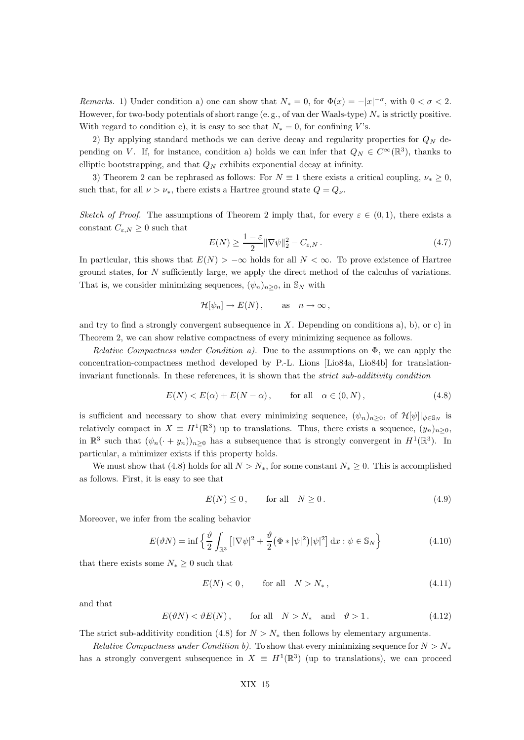Remarks. 1) Under condition a) one can show that  $N_* = 0$ , for  $\Phi(x) = -|x|^{-\sigma}$ , with  $0 < \sigma < 2$ . However, for two-body potentials of short range (e.g., of van der Waals-type)  $N_*$  is strictly positive. With regard to condition c), it is easy to see that  $N_* = 0$ , for confining V's.

2) By applying standard methods we can derive decay and regularity properties for  $Q_N$  depending on V. If, for instance, condition a) holds we can infer that  $Q_N \in C^{\infty}(\mathbb{R}^3)$ , thanks to elliptic bootstrapping, and that  $Q_N$  exhibits exponential decay at infinity.

3) Theorem 2 can be rephrased as follows: For  $N \equiv 1$  there exists a critical coupling,  $\nu_* \geq 0$ , such that, for all  $\nu > \nu_*$ , there exists a Hartree ground state  $Q = Q_{\nu}$ .

Sketch of Proof. The assumptions of Theorem 2 imply that, for every  $\varepsilon \in (0,1)$ , there exists a constant  $C_{\varepsilon,N}\geq 0$  such that

$$
E(N) \ge \frac{1-\varepsilon}{2} \|\nabla \psi\|_2^2 - C_{\varepsilon, N} \,. \tag{4.7}
$$

In particular, this shows that  $E(N) > -\infty$  holds for all  $N < \infty$ . To prove existence of Hartree ground states, for N sufficiently large, we apply the direct method of the calculus of variations. That is, we consider minimizing sequences,  $(\psi_n)_{n>0}$ , in  $\mathbb{S}_N$  with

$$
\mathcal{H}[\psi_n] \to E(N)\,, \quad \text{as} \quad n \to \infty\,,
$$

and try to find a strongly convergent subsequence in  $X$ . Depending on conditions a), b), or c) in Theorem 2, we can show relative compactness of every minimizing sequence as follows.

Relative Compactness under Condition a). Due to the assumptions on  $\Phi$ , we can apply the concentration-compactness method developed by P.-L. Lions [Lio84a, Lio84b] for translationinvariant functionals. In these references, it is shown that the strict sub-additivity condition

$$
E(N) < E(\alpha) + E(N - \alpha), \qquad \text{for all} \quad \alpha \in (0, N), \tag{4.8}
$$

is sufficient and necessary to show that every minimizing sequence,  $(\psi_n)_{n>0}$ , of  $\mathcal{H}[\psi]|_{\psi \in \mathcal{S}_N}$  is relatively compact in  $X \equiv H^1(\mathbb{R}^3)$  up to translations. Thus, there exists a sequence,  $(y_n)_{n\geq 0}$ , in  $\mathbb{R}^3$  such that  $(\psi_n(\cdot+y_n))_{n\geq 0}$  has a subsequence that is strongly convergent in  $H^1(\mathbb{R}^3)$ . In particular, a minimizer exists if this property holds.

We must show that (4.8) holds for all  $N > N_*$ , for some constant  $N_* \geq 0$ . This is accomplished as follows. First, it is easy to see that

$$
E(N) \le 0, \qquad \text{for all} \quad N \ge 0. \tag{4.9}
$$

Moreover, we infer from the scaling behavior

$$
E(\vartheta N) = \inf \left\{ \frac{\vartheta}{2} \int_{\mathbb{R}^3} \left[ |\nabla \psi|^2 + \frac{\vartheta}{2} (\Phi * |\psi|^2) |\psi|^2 \right] dx : \psi \in \mathbb{S}_N \right\}
$$
(4.10)

that there exists some  $N_* \geq 0$  such that

$$
E(N) < 0 \,, \qquad \text{for all} \quad N > N_*, \tag{4.11}
$$

and that

 $E(\vartheta N) < \vartheta E(N)$ , for all  $N > N_*$  and  $\vartheta > 1$ . (4.12)

The strict sub-additivity condition (4.8) for  $N > N_*$  then follows by elementary arguments.

Relative Compactness under Condition b). To show that every minimizing sequence for  $N > N_*$ has a strongly convergent subsequence in  $X \equiv H^1(\mathbb{R}^3)$  (up to translations), we can proceed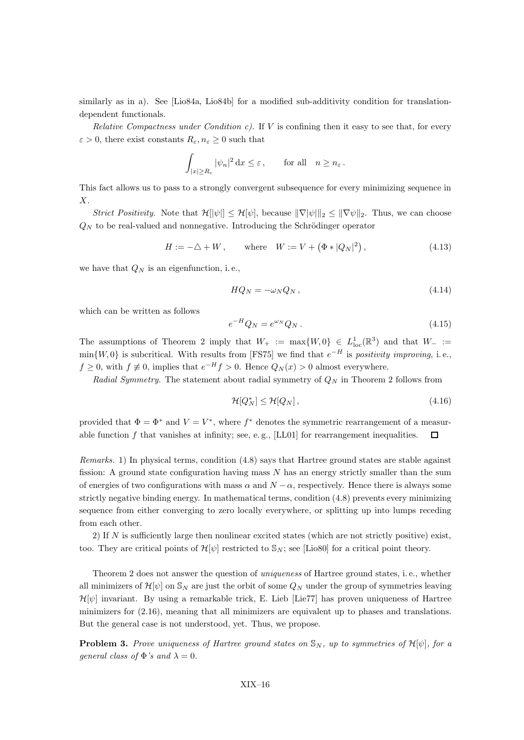similarly as in a). See [Lio84a, Lio84b] for a modified sub-additivity condition for translationdependent functionals.

Relative Compactness under Condition c). If  $V$  is confining then it easy to see that, for every  $\varepsilon > 0$ , there exist constants  $R_{\varepsilon}, n_{\varepsilon} \geq 0$  such that

$$
\int_{|x|\geq R_{\varepsilon}} |\psi_n|^2 \,dx \leq \varepsilon, \qquad \text{for all} \quad n \geq n_{\varepsilon}.
$$

This fact allows us to pass to a strongly convergent subsequence for every minimizing sequence in X.

Strict Positivity. Note that  $\mathcal{H}[\psi] \leq \mathcal{H}[\psi]$ , because  $\|\nabla[\psi]\|_2 \leq \|\nabla \psi\|_2$ . Thus, we can choose  $Q_N$  to be real-valued and nonnegative. Introducing the Schrödinger operator

$$
H := -\triangle + W, \quad \text{where} \quad W := V + (\Phi * |Q_N|^2), \tag{4.13}
$$

we have that  $Q_N$  is an eigenfunction, i.e.,

$$
HQ_N = -\omega_N Q_N, \qquad (4.14)
$$

which can be written as follows

$$
e^{-H}Q_N = e^{\omega_N}Q_N. \tag{4.15}
$$

The assumptions of Theorem 2 imply that  $W_+ := \max\{W, 0\} \in L^1_{loc}(\mathbb{R}^3)$  and that  $W_- :=$  $min\{W, 0\}$  is subcritical. With results from [FS75] we find that  $e^{-H}$  is *positivity improving*, i.e.,  $f \geq 0$ , with  $f \not\equiv 0$ , implies that  $e^{-H} f > 0$ . Hence  $Q_N(x) > 0$  almost everywhere.

Radial Symmetry. The statement about radial symmetry of  $Q_N$  in Theorem 2 follows from

$$
\mathcal{H}[Q_N^*] \le \mathcal{H}[Q_N],\tag{4.16}
$$

provided that  $\Phi = \Phi^*$  and  $V = V^*$ , where  $f^*$  denotes the symmetric rearrangement of a measurable function f that vanishes at infinity; see, e.g.,  $[LL01]$  for rearrangement inequalities.  $\Box$ 

Remarks. 1) In physical terms, condition (4.8) says that Hartree ground states are stable against fission: A ground state configuration having mass  $N$  has an energy strictly smaller than the sum of energies of two configurations with mass  $\alpha$  and  $N - \alpha$ , respectively. Hence there is always some strictly negative binding energy. In mathematical terms, condition (4.8) prevents every minimizing sequence from either converging to zero locally everywhere, or splitting up into lumps receding from each other.

2) If N is sufficiently large then nonlinear excited states (which are not strictly positive) exist, too. They are critical points of  $\mathcal{H}[\psi]$  restricted to  $\mathcal{S}_N$ ; see [Lio80] for a critical point theory.

Theorem 2 does not answer the question of uniqueness of Hartree ground states, i. e., whether all minimizers of  $\mathcal{H}[\psi]$  on  $\mathbb{S}_N$  are just the orbit of some  $Q_N$  under the group of symmetries leaving  $\mathcal{H}[\psi]$  invariant. By using a remarkable trick, E. Lieb [Lie77] has proven uniqueness of Hartree minimizers for (2.16), meaning that all minimizers are equivalent up to phases and translations. But the general case is not understood, yet. Thus, we propose.

**Problem 3.** Prove uniqueness of Hartree ground states on  $\mathbb{S}_N$ , up to symmetries of  $\mathcal{H}[\psi]$ , for a general class of  $\Phi$ 's and  $\lambda = 0$ .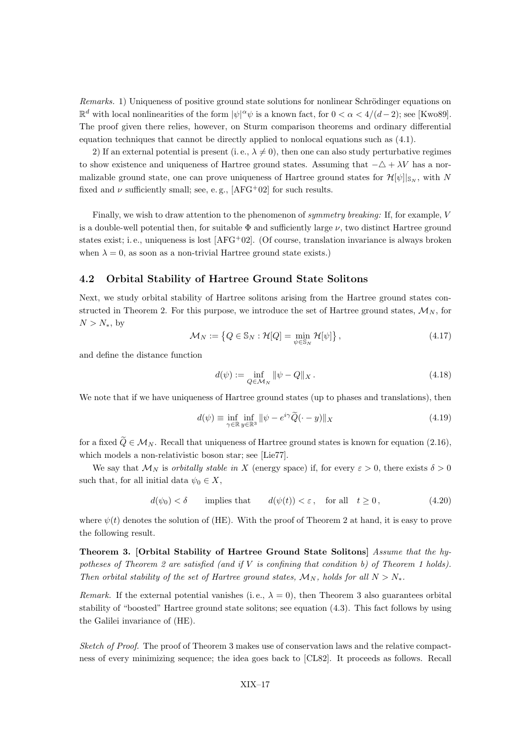Remarks. 1) Uniqueness of positive ground state solutions for nonlinear Schrödinger equations on  $\mathbb{R}^d$  with local nonlinearities of the form  $|\psi|^\alpha \psi$  is a known fact, for  $0 < \alpha < 4/(d-2)$ ; see [Kwo89]. The proof given there relies, however, on Sturm comparison theorems and ordinary differential equation techniques that cannot be directly applied to nonlocal equations such as (4.1).

2) If an external potential is present (i.e.,  $\lambda \neq 0$ ), then one can also study perturbative regimes to show existence and uniqueness of Hartree ground states. Assuming that  $-\Delta + \lambda V$  has a normalizable ground state, one can prove uniqueness of Hartree ground states for  $\mathcal{H}[\psi]|_{\mathbb{S}_N}$ , with N fixed and  $\nu$  sufficiently small; see, e.g., [AFG<sup>+</sup>02] for such results.

Finally, we wish to draw attention to the phenomenon of symmetry breaking: If, for example, V is a double-well potential then, for suitable  $\Phi$  and sufficiently large  $\nu$ , two distinct Hartree ground states exist; i. e., uniqueness is lost [AFG+02]. (Of course, translation invariance is always broken when  $\lambda = 0$ , as soon as a non-trivial Hartree ground state exists.)

#### 4.2 Orbital Stability of Hartree Ground State Solitons

Next, we study orbital stability of Hartree solitons arising from the Hartree ground states constructed in Theorem 2. For this purpose, we introduce the set of Hartree ground states,  $\mathcal{M}_N$ , for  $N > N_*$ , by

$$
\mathcal{M}_N := \left\{ Q \in \mathbb{S}_N : \mathcal{H}[Q] = \min_{\psi \in \mathbb{S}_N} \mathcal{H}[\psi] \right\},\tag{4.17}
$$

and define the distance function

$$
d(\psi) := \inf_{Q \in \mathcal{M}_N} \|\psi - Q\|_X. \tag{4.18}
$$

We note that if we have uniqueness of Hartree ground states (up to phases and translations), then

$$
d(\psi) \equiv \inf_{\gamma \in \mathbb{R}} \inf_{y \in \mathbb{R}^3} \|\psi - e^{i\gamma} \tilde{Q}(\cdot - y)\|_X \tag{4.19}
$$

for a fixed  $\tilde{Q} \in \mathcal{M}_N$ . Recall that uniqueness of Hartree ground states is known for equation (2.16), which models a non-relativistic boson star; see [Lie77].

We say that  $\mathcal{M}_N$  is *orbitally stable in X* (energy space) if, for every  $\varepsilon > 0$ , there exists  $\delta > 0$ such that, for all initial data  $\psi_0 \in X$ ,

$$
d(\psi_0) < \delta \qquad \text{implies that} \qquad d(\psi(t)) < \varepsilon \,, \quad \text{for all} \quad t \ge 0 \,, \tag{4.20}
$$

where  $\psi(t)$  denotes the solution of (HE). With the proof of Theorem 2 at hand, it is easy to prove the following result.

Theorem 3. [Orbital Stability of Hartree Ground State Solitons] Assume that the hypotheses of Theorem 2 are satisfied (and if  $V$  is confining that condition b) of Theorem 1 holds). Then orbital stability of the set of Hartree ground states,  $\mathcal{M}_N$ , holds for all  $N > N_*$ .

Remark. If the external potential vanishes (i.e.,  $\lambda = 0$ ), then Theorem 3 also guarantees orbital stability of "boosted" Hartree ground state solitons; see equation (4.3). This fact follows by using the Galilei invariance of (HE).

Sketch of Proof. The proof of Theorem 3 makes use of conservation laws and the relative compactness of every minimizing sequence; the idea goes back to [CL82]. It proceeds as follows. Recall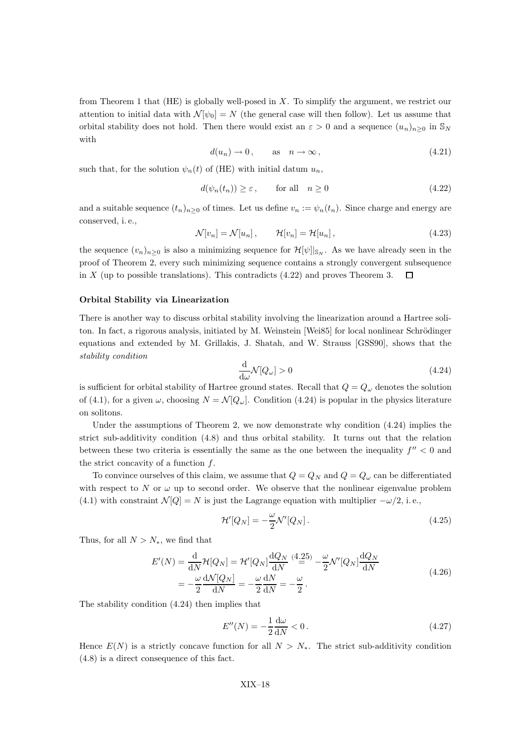from Theorem 1 that  $(HE)$  is globally well-posed in X. To simplify the argument, we restrict our attention to initial data with  $\mathcal{N}[\psi_0] = N$  (the general case will then follow). Let us assume that orbital stability does not hold. Then there would exist an  $\varepsilon > 0$  and a sequence  $(u_n)_{n>0}$  in  $\mathbb{S}_N$ with

$$
d(u_n) \to 0, \quad \text{as} \quad n \to \infty, \tag{4.21}
$$

such that, for the solution  $\psi_n(t)$  of (HE) with initial datum  $u_n$ ,

$$
d(\psi_n(t_n)) \ge \varepsilon, \qquad \text{for all} \quad n \ge 0 \tag{4.22}
$$

and a suitable sequence  $(t_n)_{n>0}$  of times. Let us define  $v_n := \psi_n(t_n)$ . Since charge and energy are conserved, i. e.,

$$
\mathcal{N}[v_n] = \mathcal{N}[u_n], \qquad \mathcal{H}[v_n] = \mathcal{H}[u_n], \qquad (4.23)
$$

the sequence  $(v_n)_{n>0}$  is also a minimizing sequence for  $\mathcal{H}[\psi]_{\mathbb{S}_N}$ . As we have already seen in the proof of Theorem 2, every such minimizing sequence contains a strongly convergent subsequence in X (up to possible translations). This contradicts  $(4.22)$  and proves Theorem 3.  $\Box$ 

#### Orbital Stability via Linearization

There is another way to discuss orbital stability involving the linearization around a Hartree soliton. In fact, a rigorous analysis, initiated by M. Weinstein [Wei85] for local nonlinear Schrödinger equations and extended by M. Grillakis, J. Shatah, and W. Strauss [GSS90], shows that the stability condition

$$
\frac{\mathrm{d}}{\mathrm{d}\omega} \mathcal{N}[Q_{\omega}] > 0 \tag{4.24}
$$

is sufficient for orbital stability of Hartree ground states. Recall that  $Q = Q_{\omega}$  denotes the solution of (4.1), for a given  $\omega$ , choosing  $N = \mathcal{N}[Q_{\omega}]$ . Condition (4.24) is popular in the physics literature on solitons.

Under the assumptions of Theorem 2, we now demonstrate why condition (4.24) implies the strict sub-additivity condition (4.8) and thus orbital stability. It turns out that the relation between these two criteria is essentially the same as the one between the inequality  $f'' < 0$  and the strict concavity of a function  $f$ .

To convince ourselves of this claim, we assume that  $Q = Q_N$  and  $Q = Q_\omega$  can be differentiated with respect to N or  $\omega$  up to second order. We observe that the nonlinear eigenvalue problem (4.1) with constraint  $\mathcal{N}[Q] = N$  is just the Lagrange equation with multiplier  $-\omega/2$ , i.e.,

$$
\mathcal{H}'[Q_N] = -\frac{\omega}{2} \mathcal{N}'[Q_N]. \tag{4.25}
$$

Thus, for all  $N > N_*$ , we find that

$$
E'(N) = \frac{\mathrm{d}}{\mathrm{d}N} \mathcal{H}[Q_N] = \mathcal{H}'[Q_N] \frac{\mathrm{d}Q_N}{\mathrm{d}N} \stackrel{(4.25)}{=} -\frac{\omega}{2} \mathcal{N}'[Q_N] \frac{\mathrm{d}Q_N}{\mathrm{d}N}
$$
  
= 
$$
-\frac{\omega}{2} \frac{\mathrm{d}N[Q_N]}{\mathrm{d}N} = -\frac{\omega}{2} \frac{\mathrm{d}N}{\mathrm{d}N} = -\frac{\omega}{2}.
$$
 (4.26)

The stability condition (4.24) then implies that

$$
E''(N) = -\frac{1}{2}\frac{d\omega}{dN} < 0\,. \tag{4.27}
$$

Hence  $E(N)$  is a strictly concave function for all  $N > N_{*}$ . The strict sub-additivity condition (4.8) is a direct consequence of this fact.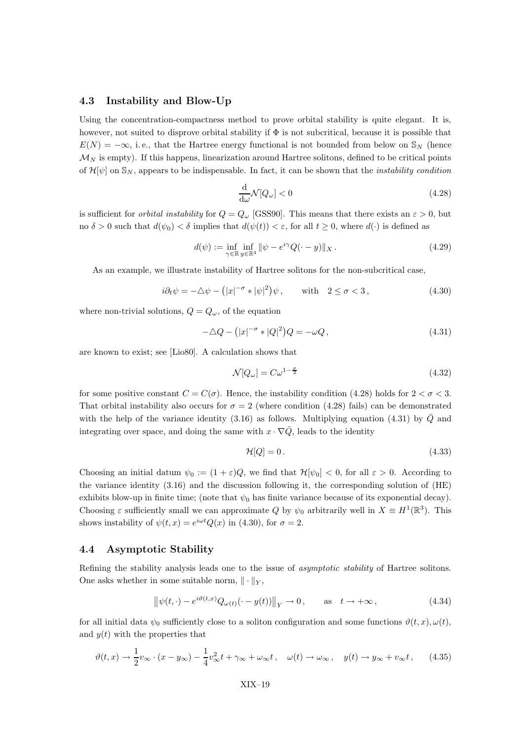#### 4.3 Instability and Blow-Up

Using the concentration-compactness method to prove orbital stability is quite elegant. It is, however, not suited to disprove orbital stability if Φ is not subcritical, because it is possible that  $E(N) = -\infty$ , i.e., that the Hartree energy functional is not bounded from below on S<sub>N</sub> (hence  $\mathcal{M}_N$  is empty). If this happens, linearization around Hartree solitons, defined to be critical points of  $\mathcal{H}[\psi]$  on  $\mathbb{S}_N$ , appears to be indispensable. In fact, it can be shown that the *instability condition* 

$$
\frac{\mathrm{d}}{\mathrm{d}\omega}\mathcal{N}[Q_{\omega}] < 0\tag{4.28}
$$

is sufficient for *orbital instability* for  $Q = Q_{\omega}$  [GSS90]. This means that there exists an  $\varepsilon > 0$ , but no  $\delta > 0$  such that  $d(\psi_0) < \delta$  implies that  $d(\psi(t)) < \varepsilon$ , for all  $t \geq 0$ , where  $d(\cdot)$  is defined as

$$
d(\psi) := \inf_{\gamma \in \mathbb{R}} \inf_{y \in \mathbb{R}^3} \|\psi - e^{i\gamma} Q(\cdot - y)\|_X. \tag{4.29}
$$

As an example, we illustrate instability of Hartree solitons for the non-subcritical case,

$$
i\partial_t \psi = -\triangle \psi - (|x|^{-\sigma} * |\psi|^2) \psi, \quad \text{with} \quad 2 \le \sigma < 3,
$$
 (4.30)

where non-trivial solutions,  $Q = Q_{\omega}$ , of the equation

$$
-\Delta Q - (|x|^{-\sigma} * |Q|^2)Q = -\omega Q, \qquad (4.31)
$$

are known to exist; see [Lio80]. A calculation shows that

$$
\mathcal{N}[Q_{\omega}] = C\omega^{1-\frac{\sigma}{2}}\tag{4.32}
$$

for some positive constant  $C = C(\sigma)$ . Hence, the instability condition (4.28) holds for  $2 < \sigma < 3$ . That orbital instability also occurs for  $\sigma = 2$  (where condition (4.28) fails) can be demonstrated with the help of the variance identity (3.16) as follows. Multiplying equation (4.31) by  $\overline{Q}$  and integrating over space, and doing the same with  $x \cdot \nabla \overline{Q}$ , leads to the identity

$$
\mathcal{H}[Q] = 0. \tag{4.33}
$$

Choosing an initial datum  $\psi_0 := (1 + \varepsilon)Q$ , we find that  $\mathcal{H}[\psi_0] < 0$ , for all  $\varepsilon > 0$ . According to the variance identity (3.16) and the discussion following it, the corresponding solution of (HE) exhibits blow-up in finite time; (note that  $\psi_0$  has finite variance because of its exponential decay). Choosing  $\varepsilon$  sufficiently small we can approximate Q by  $\psi_0$  arbitrarily well in  $X \equiv H^1(\mathbb{R}^3)$ . This shows instability of  $\psi(t,x) = e^{i\omega t} Q(x)$  in (4.30), for  $\sigma = 2$ .

#### 4.4 Asymptotic Stability

Refining the stability analysis leads one to the issue of *asymptotic stability* of Hartree solitons. One asks whether in some suitable norm,  $\|\cdot\|_Y$ ,

$$
\left\|\psi(t,\cdot)-e^{i\vartheta(t,x)}Q_{\omega(t)}(\cdot-y(t))\right\|_{Y}\to 0, \qquad \text{as} \quad t\to+\infty,
$$
\n(4.34)

for all initial data  $\psi_0$  sufficiently close to a soliton configuration and some functions  $\vartheta(t, x), \omega(t)$ , and  $y(t)$  with the properties that

$$
\vartheta(t,x) \to \frac{1}{2}v_{\infty} \cdot (x - y_{\infty}) - \frac{1}{4}v_{\infty}^2 t + \gamma_{\infty} + \omega_{\infty}t, \quad \omega(t) \to \omega_{\infty}, \quad y(t) \to y_{\infty} + v_{\infty}t, \tag{4.35}
$$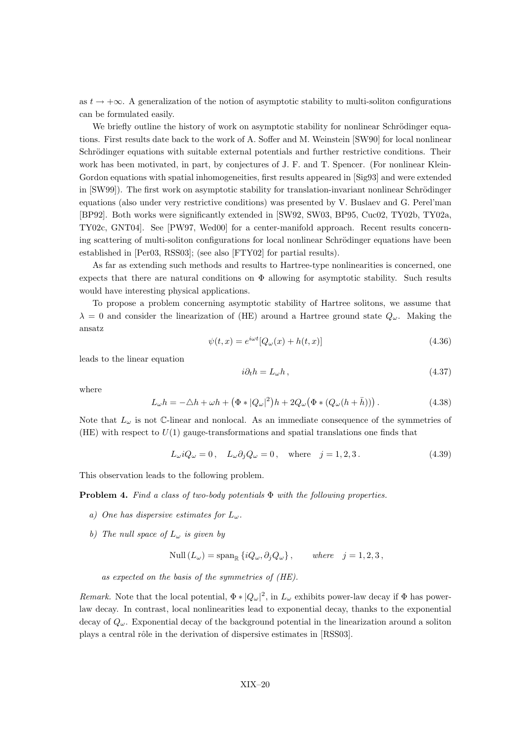as  $t \to +\infty$ . A generalization of the notion of asymptotic stability to multi-soliton configurations can be formulated easily.

We briefly outline the history of work on asymptotic stability for nonlinear Schrödinger equations. First results date back to the work of A. Soffer and M. Weinstein [SW90] for local nonlinear Schrödinger equations with suitable external potentials and further restrictive conditions. Their work has been motivated, in part, by conjectures of J. F. and T. Spencer. (For nonlinear Klein-Gordon equations with spatial inhomogeneities, first results appeared in [Sig93] and were extended in [SW99]). The first work on asymptotic stability for translation-invariant nonlinear Schrödinger equations (also under very restrictive conditions) was presented by V. Buslaev and G. Perel'man [BP92]. Both works were significantly extended in [SW92, SW03, BP95, Cuc02, TY02b, TY02a, TY02c, GNT04]. See [PW97, Wed00] for a center-manifold approach. Recent results concerning scattering of multi-soliton configurations for local nonlinear Schrödinger equations have been established in [Per03, RSS03]; (see also [FTY02] for partial results).

As far as extending such methods and results to Hartree-type nonlinearities is concerned, one expects that there are natural conditions on  $\Phi$  allowing for asymptotic stability. Such results would have interesting physical applications.

To propose a problem concerning asymptotic stability of Hartree solitons, we assume that  $\lambda = 0$  and consider the linearization of (HE) around a Hartree ground state  $Q_{\omega}$ . Making the ansatz

$$
\psi(t,x) = e^{i\omega t} [Q_{\omega}(x) + h(t,x)] \tag{4.36}
$$

leads to the linear equation

$$
i\partial_t h = L_\omega h \,,\tag{4.37}
$$

where

$$
L_{\omega}h = -\Delta h + \omega h + \left(\Phi * |Q_{\omega}|^2\right)h + 2Q_{\omega}\left(\Phi * (Q_{\omega}(h+\bar{h}))\right). \tag{4.38}
$$

Note that  $L_{\omega}$  is not C-linear and nonlocal. As an immediate consequence of the symmetries of (HE) with respect to  $U(1)$  gauge-transformations and spatial translations one finds that

$$
L_{\omega} i Q_{\omega} = 0, \quad L_{\omega} \partial_j Q_{\omega} = 0, \quad \text{where} \quad j = 1, 2, 3. \tag{4.39}
$$

This observation leads to the following problem.

**Problem 4.** Find a class of two-body potentials  $\Phi$  with the following properties.

- a) One has dispersive estimates for  $L_{\omega}$ .
- b) The null space of  $L_{\omega}$  is given by

$$
\text{Null}\left(L_{\omega}\right) = \text{span}_{\mathbb{R}}\left\{iQ_{\omega}, \partial_j Q_{\omega}\right\}, \qquad \text{where} \quad j = 1, 2, 3,
$$

as expected on the basis of the symmetries of (HE).

Remark. Note that the local potential,  $\Phi * |Q_{\omega}|^2$ , in  $L_{\omega}$  exhibits power-law decay if  $\Phi$  has powerlaw decay. In contrast, local nonlinearities lead to exponential decay, thanks to the exponential decay of  $Q_{\omega}$ . Exponential decay of the background potential in the linearization around a soliton plays a central rôle in the derivation of dispersive estimates in [RSS03].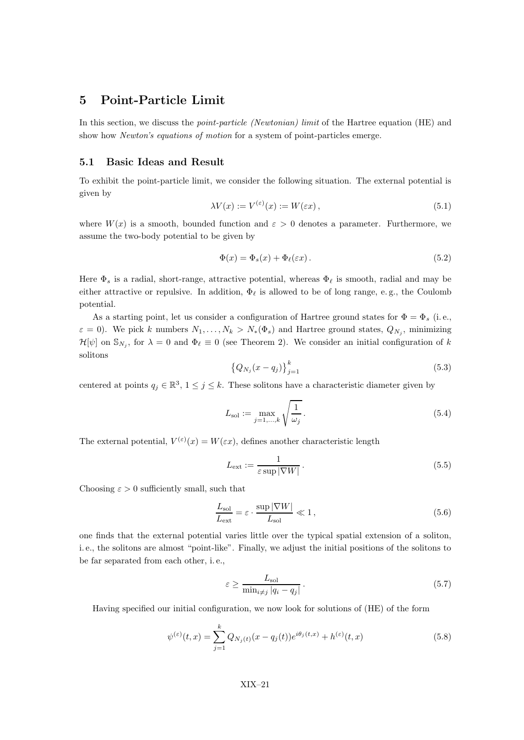## 5 Point-Particle Limit

In this section, we discuss the *point-particle (Newtonian) limit* of the Hartree equation (HE) and show how *Newton's equations of motion* for a system of point-particles emerge.

#### 5.1 Basic Ideas and Result

To exhibit the point-particle limit, we consider the following situation. The external potential is given by

$$
\lambda V(x) := V^{(\varepsilon)}(x) := W(\varepsilon x), \tag{5.1}
$$

where  $W(x)$  is a smooth, bounded function and  $\varepsilon > 0$  denotes a parameter. Furthermore, we assume the two-body potential to be given by

$$
\Phi(x) = \Phi_s(x) + \Phi_\ell(\varepsilon x). \tag{5.2}
$$

Here  $\Phi_s$  is a radial, short-range, attractive potential, whereas  $\Phi_\ell$  is smooth, radial and may be either attractive or repulsive. In addition,  $\Phi_\ell$  is allowed to be of long range, e.g., the Coulomb potential.

As a starting point, let us consider a configuration of Hartree ground states for  $\Phi = \Phi_s$  (i.e.,  $\varepsilon = 0$ ). We pick k numbers  $N_1, \ldots, N_k > N_*(\Phi_s)$  and Hartree ground states,  $Q_{N_j}$ , minimizing  $\mathcal{H}[\psi]$  on  $\mathbb{S}_{N_j}$ , for  $\lambda = 0$  and  $\Phi_\ell \equiv 0$  (see Theorem 2). We consider an initial configuration of k solitons

$$
\left\{Q_{N_j}(x-q_j)\right\}_{j=1}^k\tag{5.3}
$$

centered at points  $q_j \in \mathbb{R}^3$ ,  $1 \leq j \leq k$ . These solitons have a characteristic diameter given by

$$
L_{\text{sol}} := \max_{j=1,\dots,k} \sqrt{\frac{1}{\omega_j}}.
$$
\n
$$
(5.4)
$$

The external potential,  $V^{(\varepsilon)}(x) = W(\varepsilon x)$ , defines another characteristic length

$$
L_{\text{ext}} := \frac{1}{\varepsilon \sup |\nabla W|}.
$$
\n(5.5)

Choosing  $\varepsilon > 0$  sufficiently small, such that

$$
\frac{L_{\rm sol}}{L_{\rm ext}} = \varepsilon \cdot \frac{\sup |\nabla W|}{L_{\rm sol}} \ll 1, \qquad (5.6)
$$

one finds that the external potential varies little over the typical spatial extension of a soliton, i. e., the solitons are almost "point-like". Finally, we adjust the initial positions of the solitons to be far separated from each other, i. e.,

$$
\varepsilon \ge \frac{L_{\text{sol}}}{\min_{i \ne j} |q_i - q_j|}.
$$
\n(5.7)

Having specified our initial configuration, we now look for solutions of (HE) of the form

$$
\psi^{(\varepsilon)}(t,x) = \sum_{j=1}^{k} Q_{N_j(t)}(x - q_j(t)) e^{i\theta_j(t,x)} + h^{(\varepsilon)}(t,x)
$$
\n(5.8)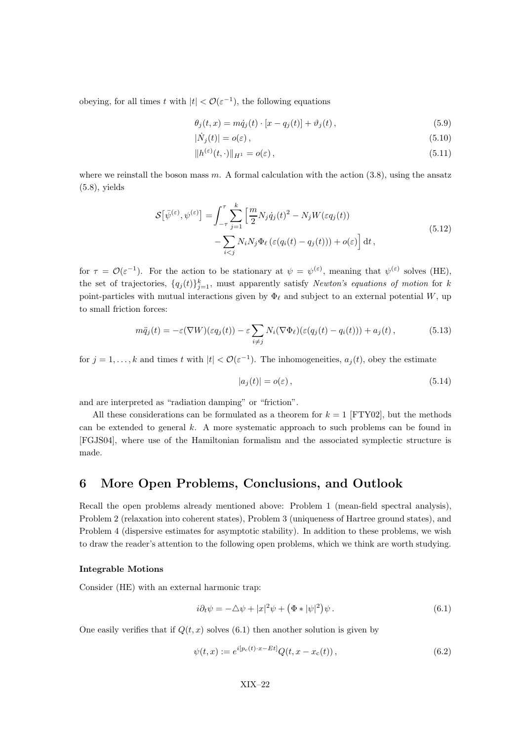obeying, for all times t with  $|t| < \mathcal{O}(\varepsilon^{-1})$ , the following equations

$$
\theta_j(t, x) = m\dot{q}_j(t) \cdot [x - q_j(t)] + \vartheta_j(t), \qquad (5.9)
$$

$$
|\dot{N}_j(t)| = o(\varepsilon),\tag{5.10}
$$

$$
||h^{(\varepsilon)}(t,\cdot)||_{H^1} = o(\varepsilon),\tag{5.11}
$$

where we reinstall the boson mass  $m$ . A formal calculation with the action  $(3.8)$ , using the ansatz (5.8), yields

$$
\mathcal{S}[\bar{\psi}^{(\varepsilon)}, \psi^{(\varepsilon)}] = \int_{-\tau}^{\tau} \sum_{j=1}^{k} \left[ \frac{m}{2} N_j \dot{q}_j(t)^2 - N_j W(\varepsilon q_j(t)) - \sum_{i < j} N_i N_j \Phi_\ell \left( \varepsilon (q_i(t) - q_j(t)) \right) + o(\varepsilon) \right] \mathrm{d}t \,,\tag{5.12}
$$

for  $\tau = \mathcal{O}(\varepsilon^{-1})$ . For the action to be stationary at  $\psi = \psi^{(\varepsilon)}$ , meaning that  $\psi^{(\varepsilon)}$  solves (HE), the set of trajectories,  $\{q_j(t)\}_{j=1}^k$ , must apparently satisfy *Newton's equations of motion* for k point-particles with mutual interactions given by  $\Phi_\ell$  and subject to an external potential W, up to small friction forces:

$$
m\ddot{q}_j(t) = -\varepsilon(\nabla W)(\varepsilon q_j(t)) - \varepsilon \sum_{i \neq j} N_i(\nabla \Phi_\ell)(\varepsilon (q_j(t) - q_i(t))) + a_j(t), \qquad (5.13)
$$

for  $j = 1, ..., k$  and times t with  $|t| < \mathcal{O}(\varepsilon^{-1})$ . The inhomogeneities,  $a_j(t)$ , obey the estimate

$$
|a_j(t)| = o(\varepsilon), \tag{5.14}
$$

and are interpreted as "radiation damping" or "friction".

All these considerations can be formulated as a theorem for  $k = 1$  [FTY02], but the methods can be extended to general  $k$ . A more systematic approach to such problems can be found in [FGJS04], where use of the Hamiltonian formalism and the associated symplectic structure is made.

### 6 More Open Problems, Conclusions, and Outlook

Recall the open problems already mentioned above: Problem 1 (mean-field spectral analysis), Problem 2 (relaxation into coherent states), Problem 3 (uniqueness of Hartree ground states), and Problem 4 (dispersive estimates for asymptotic stability). In addition to these problems, we wish to draw the reader's attention to the following open problems, which we think are worth studying.

#### Integrable Motions

Consider (HE) with an external harmonic trap:

$$
i\partial_t \psi = -\triangle \psi + |x|^2 \psi + \left(\Phi * |\psi|^2\right) \psi.
$$
\n(6.1)

One easily verifies that if  $Q(t, x)$  solves (6.1) then another solution is given by

$$
\psi(t,x) := e^{i[p_c(t) \cdot x - Et]} Q(t, x - x_c(t)), \qquad (6.2)
$$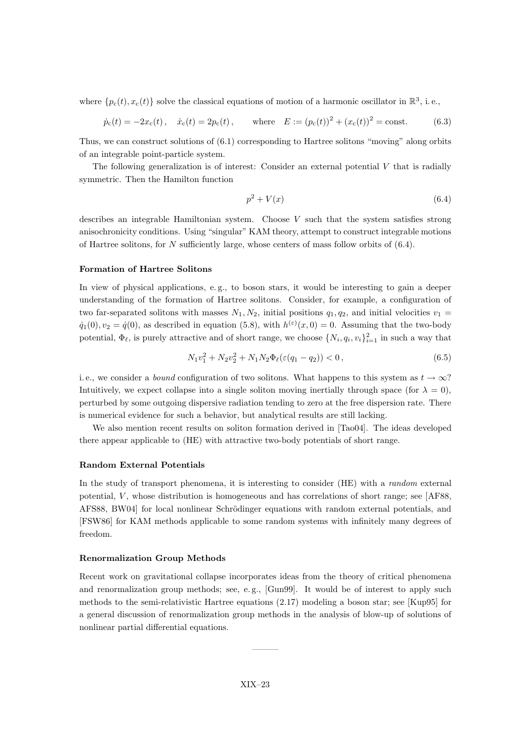where  $\{p_c(t), x_c(t)\}\$  solve the classical equations of motion of a harmonic oscillator in  $\mathbb{R}^3$ , i.e.,

$$
\dot{p}_c(t) = -2x_c(t), \quad \dot{x}_c(t) = 2p_c(t), \quad \text{where} \quad E := (p_c(t))^2 + (x_c(t))^2 = \text{const.}
$$
\n(6.3)

Thus, we can construct solutions of (6.1) corresponding to Hartree solitons "moving" along orbits of an integrable point-particle system.

The following generalization is of interest: Consider an external potential  $V$  that is radially symmetric. Then the Hamilton function

$$
p^2 + V(x) \tag{6.4}
$$

describes an integrable Hamiltonian system. Choose V such that the system satisfies strong anisochronicity conditions. Using "singular" KAM theory, attempt to construct integrable motions of Hartree solitons, for N sufficiently large, whose centers of mass follow orbits of  $(6.4)$ .

#### Formation of Hartree Solitons

In view of physical applications, e. g., to boson stars, it would be interesting to gain a deeper understanding of the formation of Hartree solitons. Consider, for example, a configuration of two far-separated solitons with masses  $N_1, N_2$ , initial positions  $q_1, q_2$ , and initial velocities  $v_1$  $\dot{q}_1(0), v_2 = \dot{q}(0)$ , as described in equation (5.8), with  $h^{(\varepsilon)}(x,0) = 0$ . Assuming that the two-body potential,  $\Phi_{\ell}$ , is purely attractive and of short range, we choose  $\{N_i, q_i, v_i\}_{i=1}^2$  in such a way that

$$
N_1v_1^2 + N_2v_2^2 + N_1N_2\Phi_\ell(\varepsilon(q_1 - q_2)) < 0,\tag{6.5}
$$

i.e., we consider a *bound* configuration of two solitons. What happens to this system as  $t \to \infty$ ? Intuitively, we expect collapse into a single soliton moving inertially through space (for  $\lambda = 0$ ), perturbed by some outgoing dispersive radiation tending to zero at the free dispersion rate. There is numerical evidence for such a behavior, but analytical results are still lacking.

We also mention recent results on soliton formation derived in [Tao04]. The ideas developed there appear applicable to (HE) with attractive two-body potentials of short range.

#### Random External Potentials

In the study of transport phenomena, it is interesting to consider (HE) with a *random* external potential,  $V$ , whose distribution is homogeneous and has correlations of short range; see  $[AF88,$ AFS88, BW04 for local nonlinear Schrödinger equations with random external potentials, and [FSW86] for KAM methods applicable to some random systems with infinitely many degrees of freedom.

#### Renormalization Group Methods

Recent work on gravitational collapse incorporates ideas from the theory of critical phenomena and renormalization group methods; see, e.g., [Gun99]. It would be of interest to apply such methods to the semi-relativistic Hartree equations (2.17) modeling a boson star; see [Kup95] for a general discussion of renormalization group methods in the analysis of blow-up of solutions of nonlinear partial differential equations.

———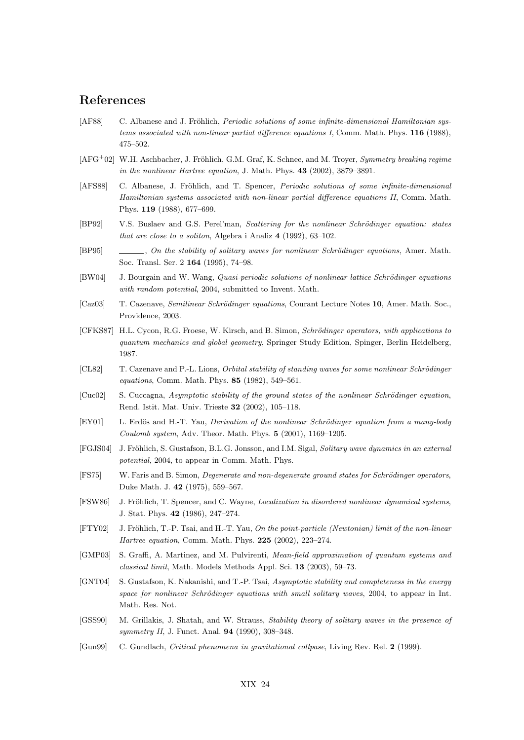## References

- [AF88] C. Albanese and J. Fröhlich, *Periodic solutions of some infinite-dimensional Hamiltonian sys*tems associated with non-linear partial difference equations I, Comm. Math. Phys. 116 (1988), 475–502.
- [AFG<sup>+</sup>02] W.H. Aschbacher, J. Fröhlich, G.M. Graf, K. Schnee, and M. Troyer, Symmetry breaking regime in the nonlinear Hartree equation, J. Math. Phys. 43 (2002), 3879–3891.
- [AFS88] C. Albanese, J. Fröhlich, and T. Spencer, *Periodic solutions of some infinite-dimensional* Hamiltonian systems associated with non-linear partial difference equations II, Comm. Math. Phys. 119 (1988), 677–699.
- [BP92] V.S. Buslaev and G.S. Perel'man, Scattering for the nonlinear Schrödinger equation: states that are close to a soliton, Algebra i Analiz 4 (1992), 63–102.
- [BP95] , On the stability of solitary waves for nonlinear Schrödinger equations, Amer. Math. Soc. Transl. Ser. 2 164 (1995), 74–98.
- [BW04] J. Bourgain and W. Wang, *Quasi-periodic solutions of nonlinear lattice Schrödinger equations* with random potential, 2004, submitted to Invent. Math.
- [Caz03] T. Cazenave, *Semilinear Schrödinger equations*, Courant Lecture Notes 10, Amer. Math. Soc., Providence, 2003.
- [CFKS87] H.L. Cycon, R.G. Froese, W. Kirsch, and B. Simon, Schrödinger operators, with applications to quantum mechanics and global geometry, Springer Study Edition, Spinger, Berlin Heidelberg, 1987.
- [CL82] T. Cazenave and P.-L. Lions, *Orbital stability of standing waves for some nonlinear Schrödinger* equations, Comm. Math. Phys. 85 (1982), 549–561.
- $[Cuc02]$  S. Cuccagna, Asymptotic stability of the ground states of the nonlinear Schrödinger equation, Rend. Istit. Mat. Univ. Trieste 32 (2002), 105–118.
- [EY01] L. Erdös and H.-T. Yau, *Derivation of the nonlinear Schrödinger equation from a many-body* Coulomb system, Adv. Theor. Math. Phys. 5 (2001), 1169–1205.
- [FGJS04] J. Fröhlich, S. Gustafson, B.L.G. Jonsson, and I.M. Sigal, Solitary wave dynamics in an external potential, 2004, to appear in Comm. Math. Phys.
- [FS75] W. Faris and B. Simon, *Degenerate and non-degenerate ground states for Schrödinger operators*, Duke Math. J. 42 (1975), 559–567.
- [FSW86] J. Fröhlich, T. Spencer, and C. Wayne, *Localization in disordered nonlinear dynamical systems*, J. Stat. Phys. 42 (1986), 247–274.
- [FTY02] J. Fröhlich, T.-P. Tsai, and H.-T. Yau, On the point-particle (Newtonian) limit of the non-linear Hartree equation, Comm. Math. Phys. 225 (2002), 223–274.
- [GMP03] S. Graffi, A. Martinez, and M. Pulvirenti, Mean-field approximation of quantum systems and classical limit, Math. Models Methods Appl. Sci. 13 (2003), 59–73.
- [GNT04] S. Gustafson, K. Nakanishi, and T.-P. Tsai, Asymptotic stability and completeness in the energy space for nonlinear Schrödinger equations with small solitary waves, 2004, to appear in Int. Math. Res. Not.
- [GSS90] M. Grillakis, J. Shatah, and W. Strauss, Stability theory of solitary waves in the presence of symmetry II, J. Funct. Anal. 94 (1990), 308–348.
- [Gun99] C. Gundlach, Critical phenomena in gravitational collpase, Living Rev. Rel. 2 (1999).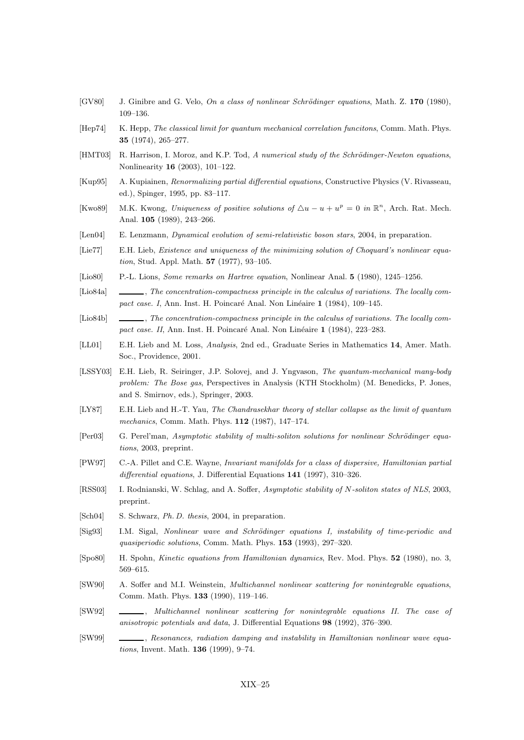- [GV80] J. Ginibre and G. Velo, On a class of nonlinear Schrödinger equations, Math. Z. 170 (1980), 109–136.
- [Hep74] K. Hepp, The classical limit for quantum mechanical correlation funcitons, Comm. Math. Phys. 35 (1974), 265–277.
- [HMT03] R. Harrison, I. Moroz, and K.P. Tod, A numerical study of the Schrödinger-Newton equations, Nonlinearity 16 (2003), 101–122.
- [Kup95] A. Kupiainen, Renormalizing partial differential equations, Constructive Physics (V. Rivasseau, ed.), Spinger, 1995, pp. 83–117.
- [Kwo89] M.K. Kwong, Uniqueness of positive solutions of  $\Delta u u + u^p = 0$  in  $\mathbb{R}^n$ , Arch. Rat. Mech. Anal. 105 (1989), 243–266.
- [Len04] E. Lenzmann, Dynamical evolution of semi-relativistic boson stars, 2004, in preparation.
- [Lie77] E.H. Lieb, Existence and uniqueness of the minimizing solution of Choquard's nonlinear equation, Stud. Appl. Math. 57 (1977), 93–105.
- [Lio80] P.-L. Lions, Some remarks on Hartree equation, Nonlinear Anal. 5 (1980), 1245–1256.
- [Lio84a] , The concentration-compactness principle in the calculus of variations. The locally compact case. I, Ann. Inst. H. Poincaré Anal. Non Linéaire 1 (1984), 109–145.
- [Lio84b] , The concentration-compactness principle in the calculus of variations. The locally compact case. II, Ann. Inst. H. Poincaré Anal. Non Linéaire 1 (1984), 223–283.
- [LL01] E.H. Lieb and M. Loss, Analysis, 2nd ed., Graduate Series in Mathematics 14, Amer. Math. Soc., Providence, 2001.
- [LSSY03] E.H. Lieb, R. Seiringer, J.P. Solovej, and J. Yngvason, The quantum-mechanical many-body problem: The Bose gas, Perspectives in Analysis (KTH Stockholm) (M. Benedicks, P. Jones, and S. Smirnov, eds.), Springer, 2003.
- [LY87] E.H. Lieb and H.-T. Yau, The Chandrasekhar theory of stellar collapse as the limit of quantum mechanics, Comm. Math. Phys. 112 (1987), 147–174.
- [Per03] G. Perel'man, Asymptotic stability of multi-soliton solutions for nonlinear Schrödinger equations, 2003, preprint.
- [PW97] C.-A. Pillet and C.E. Wayne, Invariant manifolds for a class of dispersive, Hamiltonian partial differential equations, J. Differential Equations 141 (1997), 310–326.
- [RSS03] I. Rodnianski, W. Schlag, and A. Soffer, Asymptotic stability of N-soliton states of NLS, 2003, preprint.
- [Sch04] S. Schwarz, Ph. D. thesis, 2004, in preparation.
- [Sig93] I.M. Sigal, Nonlinear wave and Schrödinger equations I, instability of time-periodic and quasiperiodic solutions, Comm. Math. Phys. 153 (1993), 297–320.
- [Spo80] H. Spohn, Kinetic equations from Hamiltonian dynamics, Rev. Mod. Phys. 52 (1980), no. 3, 569–615.
- [SW90] A. Soffer and M.I. Weinstein, Multichannel nonlinear scattering for nonintegrable equations, Comm. Math. Phys. 133 (1990), 119–146.
- [SW92]  $\_\_\_\_\_\_\_\$  Multichannel nonlinear scattering for nonintegrable equations II. The case of anisotropic potentials and data, J. Differential Equations 98 (1992), 376–390.
- [SW99] , Resonances, radiation damping and instability in Hamiltonian nonlinear wave equations, Invent. Math. 136 (1999), 9–74.